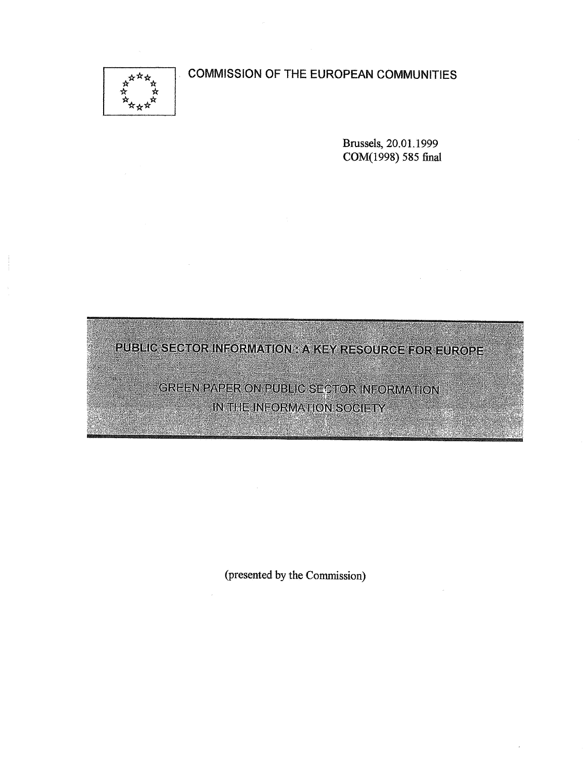# COMMISSION OF THE EUROPEAN COMMUNITIES



Brussels, 20.01.1999 COM(1998) 585 final

PUBLIC SECTOR INFORMATION : A KEY RESOURCE FOR EUROPE

GREEN PAPER ON PUBLIC SECTOR INFORMATION IN THE INFORMATION SOCIETY

(presented by the Commission)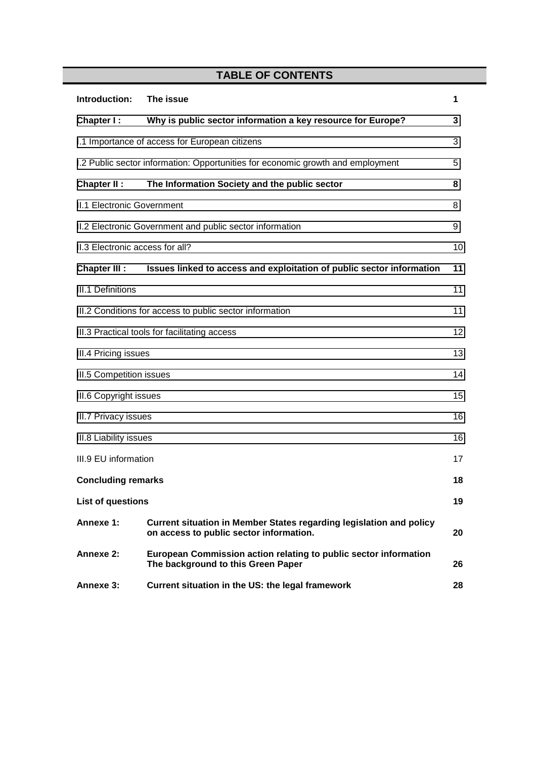# **TABLE OF CONTENTS**

| Introduction:                                                                   | The issue                                                                                                      | 1  |  |  |
|---------------------------------------------------------------------------------|----------------------------------------------------------------------------------------------------------------|----|--|--|
| Chapter I:                                                                      | Why is public sector information a key resource for Europe?                                                    | 3  |  |  |
| I.1 Importance of access for European citizens                                  |                                                                                                                |    |  |  |
| I.2 Public sector information: Opportunities for economic growth and employment |                                                                                                                |    |  |  |
| Chapter II :                                                                    | The Information Society and the public sector                                                                  | 8  |  |  |
| <b>II.1 Electronic Government</b>                                               |                                                                                                                |    |  |  |
| II.2 Electronic Government and public sector information                        |                                                                                                                |    |  |  |
| II.3 Electronic access for all?<br>10                                           |                                                                                                                |    |  |  |
| <b>Chapter III:</b>                                                             | Issues linked to access and exploitation of public sector information                                          | 11 |  |  |
| <b>III.1 Definitions</b><br>11                                                  |                                                                                                                |    |  |  |
| III.2 Conditions for access to public sector information<br>11                  |                                                                                                                |    |  |  |
| III.3 Practical tools for facilitating access                                   |                                                                                                                |    |  |  |
| III.4 Pricing issues                                                            |                                                                                                                |    |  |  |
| <b>III.5 Competition issues</b>                                                 |                                                                                                                |    |  |  |
| <b>III.6 Copyright issues</b>                                                   |                                                                                                                |    |  |  |
| III.7 Privacy issues                                                            |                                                                                                                |    |  |  |
| III.8 Liability issues                                                          |                                                                                                                |    |  |  |
| III.9 EU information                                                            |                                                                                                                |    |  |  |
| <b>Concluding remarks</b>                                                       |                                                                                                                |    |  |  |
| <b>List of questions</b>                                                        |                                                                                                                |    |  |  |
| Annexe 1:                                                                       | Current situation in Member States regarding legislation and policy<br>on access to public sector information. | 20 |  |  |
| Annexe 2:                                                                       | European Commission action relating to public sector information<br>The background to this Green Paper         | 26 |  |  |
| <b>Annexe 3:</b>                                                                | Current situation in the US: the legal framework                                                               | 28 |  |  |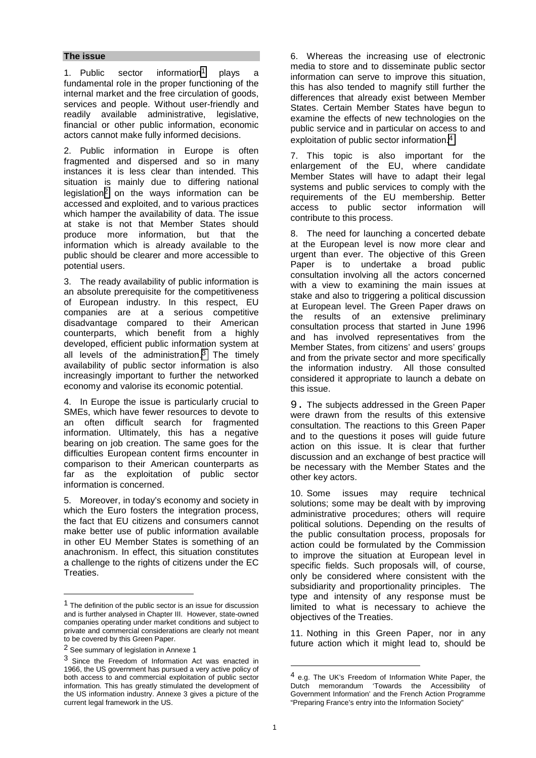#### **The issue**

1. Public sector information<sup>1</sup> plays a fundamental role in the proper functioning of the internal market and the free circulation of goods, services and people. Without user-friendly and readily available administrative, legislative, financial or other public information, economic actors cannot make fully informed decisions.

2. Public information in Europe is often fragmented and dispersed and so in many instances it is less clear than intended. This situation is mainly due to differing national legislation2 on the ways information can be accessed and exploited, and to various practices which hamper the availability of data. The issue at stake is not that Member States should produce more information, but that the information which is already available to the public should be clearer and more accessible to potential users.

3. The ready availability of public information is an absolute prerequisite for the competitiveness of European industry. In this respect, EU companies are at a serious competitive disadvantage compared to their American counterparts, which benefit from a highly developed, efficient public information system at all levels of the administration. $3$  The timely availability of public sector information is also increasingly important to further the networked economy and valorise its economic potential.

4. In Europe the issue is particularly crucial to SMEs, which have fewer resources to devote to an often difficult search for fragmented information. Ultimately, this has a negative bearing on job creation. The same goes for the difficulties European content firms encounter in comparison to their American counterparts as far as the exploitation of public sector information is concerned.

5. Moreover, in today's economy and society in which the Euro fosters the integration process, the fact that EU citizens and consumers cannot make better use of public information available in other EU Member States is something of an anachronism. In effect, this situation constitutes a challenge to the rights of citizens under the EC Treaties.

 $\overline{a}$ 

6. Whereas the increasing use of electronic media to store and to disseminate public sector information can serve to improve this situation, this has also tended to magnify still further the differences that already exist between Member States. Certain Member States have begun to examine the effects of new technologies on the public service and in particular on access to and exploitation of public sector information.4

7. This topic is also important for the enlargement of the EU, where candidate Member States will have to adapt their legal systems and public services to comply with the requirements of the EU membership. Better access to public sector information will contribute to this process.

8. The need for launching a concerted debate at the European level is now more clear and urgent than ever. The objective of this Green Paper is to undertake a broad public consultation involving all the actors concerned with a view to examining the main issues at stake and also to triggering a political discussion at European level. The Green Paper draws on the results of an extensive preliminary consultation process that started in June 1996 and has involved representatives from the Member States, from citizens' and users' groups and from the private sector and more specifically the information industry. All those consulted considered it appropriate to launch a debate on this issue.

9. The subjects addressed in the Green Paper were drawn from the results of this extensive consultation. The reactions to this Green Paper and to the questions it poses will guide future action on this issue. It is clear that further discussion and an exchange of best practice will be necessary with the Member States and the other key actors.

10. Some issues may require technical solutions; some may be dealt with by improving administrative procedures; others will require political solutions. Depending on the results of the public consultation process, proposals for action could be formulated by the Commission to improve the situation at European level in specific fields. Such proposals will, of course, only be considered where consistent with the subsidiarity and proportionality principles. The type and intensity of any response must be limited to what is necessary to achieve the objectives of the Treaties.

11. Nothing in this Green Paper, nor in any future action which it might lead to, should be

<sup>1</sup> The definition of the public sector is an issue for discussion and is further analysed in Chapter III. However, state-owned companies operating under market conditions and subject to private and commercial considerations are clearly not meant to be covered by this Green Paper.

<sup>2</sup> See summary of legislation in Annexe 1

<sup>3</sup> Since the Freedom of Information Act was enacted in 1966, the US government has pursued a very active policy of both access to and commercial exploitation of public sector information. This has greatly stimulated the development of the US information industry. Annexe 3 gives a picture of the current legal framework in the US.

<sup>4</sup> e.g. The UK's Freedom of Information White Paper, the Dutch memorandum 'Towards the Accessibility of Government Information' and the French Action Programme "Preparing France's entry into the Information Society"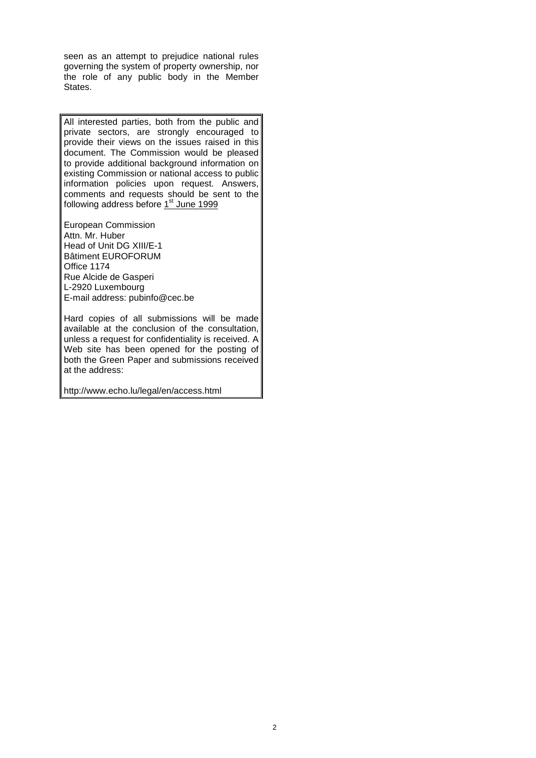seen as an attempt to prejudice national rules governing the system of property ownership, nor the role of any public body in the Member States.

All interested parties, both from the public and private sectors, are strongly encouraged to provide their views on the issues raised in this document. The Commission would be pleased to provide additional background information on existing Commission or national access to public information policies upon request. Answers, comments and requests should be sent to the following address before 1<sup>st</sup> June 1999

European Commission Attn. Mr. Huber Head of Unit DG XIII/E-1 Bâtiment EUROFORUM Office 1174 Rue Alcide de Gasperi L-2920 Luxembourg E-mail address: pubinfo@cec.be

Hard copies of all submissions will be made available at the conclusion of the consultation, unless a request for confidentiality is received. A Web site has been opened for the posting of both the Green Paper and submissions received at the address:

http://www.echo.lu/legal/en/access.html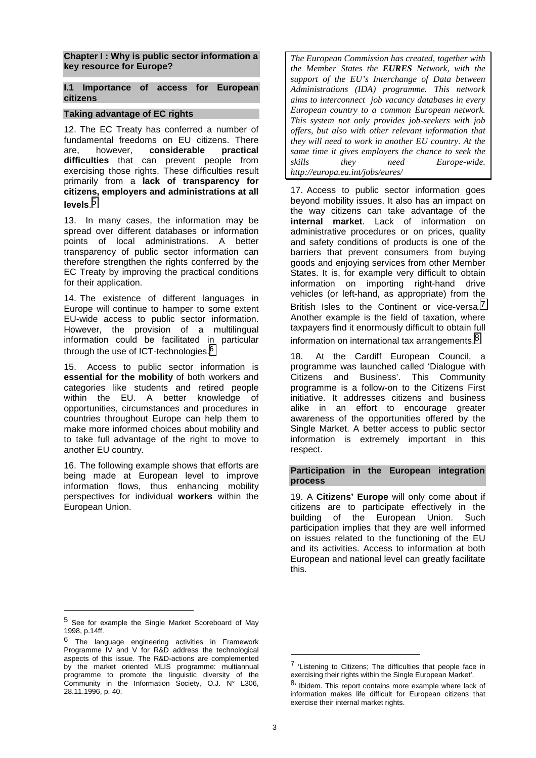<span id="page-4-0"></span>**Chapter I : Why is public sector information a key resource for Europe?**

**I.1 Importance of access for European citizens**

## **Taking advantage of EC rights**

12. The EC Treaty has conferred a number of fundamental freedoms on EU citizens. There are, however, **considerable practical difficulties** that can prevent people from exercising those rights. These difficulties result primarily from a **lack of transparency for citizens, employers and administrations at all levels**. 5

13. In many cases, the information may be spread over different databases or information points of local administrations. A better transparency of public sector information can therefore strengthen the rights conferred by the EC Treaty by improving the practical conditions for their application.

14. The existence of different languages in Europe will continue to hamper to some extent EU-wide access to public sector information. However, the provision of a multilingual information could be facilitated in particular through the use of ICT-technologies.<sup>6</sup>

15. Access to public sector information is **essential for the mobility** of both workers and categories like students and retired people within the EU. A better knowledge of opportunities, circumstances and procedures in countries throughout Europe can help them to make more informed choices about mobility and to take full advantage of the right to move to another EU country.

16. The following example shows that efforts are being made at European level to improve information flows, thus enhancing mobility perspectives for individual **workers** within the European Union.

*The European Commission has created, together with the Member States the EURES Network, with the support of the EU's Interchange of Data between Administrations (IDA) programme. This network aims to interconnect job vacancy databases in every European country to a common European network. This system not only provides job-seekers with job offers, but also with other relevant information that they will need to work in another EU country. At the same time it gives employers the chance to seek the skills they need Europe-wide. http://europa.eu.int/jobs/eures/*

17. Access to public sector information goes beyond mobility issues. It also has an impact on the way citizens can take advantage of the **internal market**. Lack of information on administrative procedures or on prices, quality and safety conditions of products is one of the barriers that prevent consumers from buying goods and enjoying services from other Member States. It is, for example very difficult to obtain information on importing right-hand drive vehicles (or left-hand, as appropriate) from the British Isles to the Continent or vice-versa.<sup>7</sup> Another example is the field of taxation, where taxpayers find it enormously difficult to obtain full information on international tax arrangements.<sup>8</sup>

18. At the Cardiff European Council, a programme was launched called 'Dialogue with Citizens and Business'. This Community programme is a follow-on to the Citizens First initiative. It addresses citizens and business alike in an effort to encourage greater awareness of the opportunities offered by the Single Market. A better access to public sector information is extremely important in this respect.

## **Participation in the European integration process**

19. A **Citizens' Europe** will only come about if citizens are to participate effectively in the building of the European Union. Such participation implies that they are well informed on issues related to the functioning of the EU and its activities. Access to information at both European and national level can greatly facilitate this.

 $\overline{a}$ 

<sup>5</sup> See for example the Single Market Scoreboard of May 1998, p.14ff.

 $^6$  The language engineering activities in Framework Programme IV and V for R&D address the technological aspects of this issue. The R&D-actions are complemented by the market oriented MLIS programme: multiannual programme to promote the linguistic diversity of the Community in the Information Society, O.J. N° L306, 28.11.1996, p. 40.

<sup>&</sup>lt;sup>7</sup> 'Listening to Citizens; The difficulties that people face in exercising their rights within the Single European Market'.

 $8<sup>i</sup>$  Ibidem. This report contains more example where lack of information makes life difficult for European citizens that exercise their internal market rights.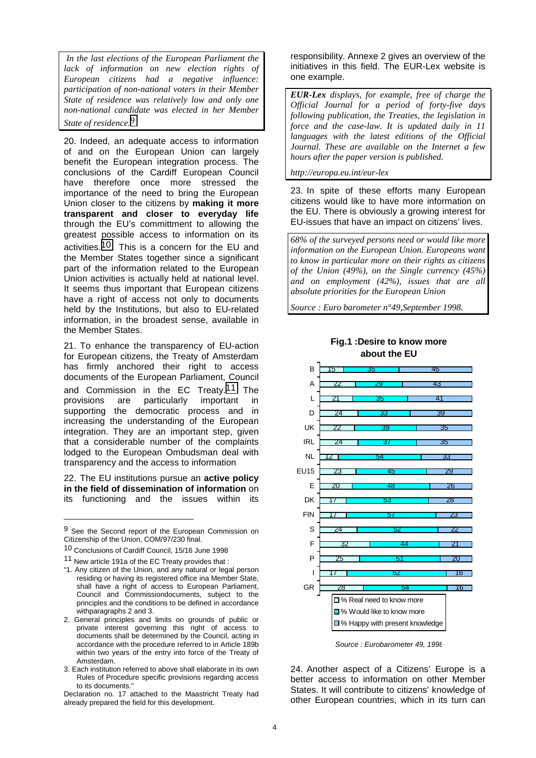*In the last elections of the European Parliament the lack of information on new election rights of European citizens had a negative influence: participation of non-national voters in their Member State of residence was relatively low and only one non-national candidate was elected in her Member State of residence.9*

20. Indeed, an adequate access to information of and on the European Union can largely benefit the European integration process. The conclusions of the Cardiff European Council have therefore once more stressed the importance of the need to bring the European Union closer to the citizens by **making it more transparent and closer to everyday life** through the EU's committment to allowing the greatest possible access to information on its activities.10 This is a concern for the EU and the Member States together since a significant part of the information related to the European Union activities is actually held at national level. It seems thus important that European citizens have a right of access not only to documents held by the Institutions, but also to EU-related information, in the broadest sense, available in the Member States.

21. To enhance the transparency of EU-action for European citizens, the Treaty of Amsterdam has firmly anchored their right to access documents of the European Parliament, Council and Commission in the EC Treaty.11 The provisions are particularly important in supporting the democratic process and in increasing the understanding of the European integration. They are an important step, given that a considerable number of the complaints lodged to the European Ombudsman deal with transparency and the access to information

22. The EU institutions pursue an **active policy in the field of dissemination of information** on its functioning and the issues within its

 $\overline{a}$ 

responsibility. Annexe 2 gives an overview of the initiatives in this field. The EUR-Lex website is one example.

*EUR-Lex displays, for example, free of charge the Official Journal for a period of forty-five days following publication, the Treaties, the legislation in force and the case-law. It is updated daily in 11 languages with the latest editions of the Official Journal. These are available on the Internet a few hours after the paper version is published.*

*http://europa.eu.int/eur-lex*

23. In spite of these efforts many European citizens would like to have more information on the EU. There is obviously a growing interest for EU-issues that have an impact on citizens' lives.

*68% of the surveyed persons need or would like more information on the European Union. Europeans want to know in particular more on their rights as citizens of the Union (49%), on the Single currency (45%) and on employment (42%), issues that are all absolute priorities for the European Union*

*Source : Euro barometer n°49,September 1998.*

**Fig.1 :Desire to know more about the EU**



*Source : Eurobarometer 49, 1998*

24. Another aspect of a Citizens' Europe is a better access to information on other Member States. It will contribute to citizens' knowledge of other European countries, which in its turn can

<sup>&</sup>lt;sup>9</sup> See the Second report of the European Commission on Citizenship of the Union, COM/97/230 final.

<sup>10</sup> Conclusions of Cardiff Council, 15/16 June 1998

<sup>11</sup> New article 191a of the EC Treaty provides that :

<sup>&</sup>quot;1. Any citizen of the Union, and any natural or legal person residing or having its registered office ina Member State, shall have a right of access to European Parliament, Council and Commissiondocuments, subject to the principles and the conditions to be defined in accordance withparagraphs 2 and 3.

<sup>2.</sup> General principles and limits on grounds of public or private interest governing this right of access to documents shall be determined by the Council, acting in accordance with the procedure referred to in Article 189b within two years of the entry into force of the Treaty of Amsterdam.

<sup>3.</sup> Each institution referred to above shall elaborate in its own Rules of Procedure specific provisions regarding access to its documents."

Declaration no. 17 attached to the Maastricht Treaty had already prepared the field for this development.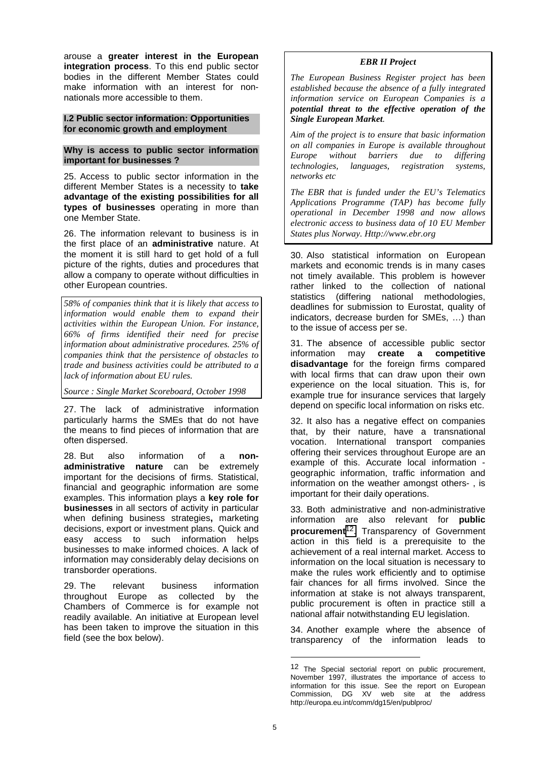<span id="page-6-0"></span>arouse a **greater interest in the European integration process**. To this end public sector bodies in the different Member States could make information with an interest for nonnationals more accessible to them.

#### **I.2 Public sector information: Opportunities for economic growth and employment**

#### **Why is access to public sector information important for businesses ?**

25. Access to public sector information in the different Member States is a necessity to **take advantage of the existing possibilities for all types of businesses** operating in more than one Member State.

26. The information relevant to business is in the first place of an **administrative** nature. At the moment it is still hard to get hold of a full picture of the rights, duties and procedures that allow a company to operate without difficulties in other European countries.

*58% of companies think that it is likely that access to information would enable them to expand their activities within the European Union. For instance, 66% of firms identified their need for precise information about administrative procedures. 25% of companies think that the persistence of obstacles to trade and business activities could be attributed to a lack of information about EU rules.*

*Source : Single Market Scoreboard, October 1998*

27. The lack of administrative information particularly harms the SMEs that do not have the means to find pieces of information that are often dispersed.

28. But also information of a **nonadministrative nature** can be extremely important for the decisions of firms. Statistical, financial and geographic information are some examples. This information plays a **key role for businesses** in all sectors of activity in particular when defining business strategies**,** marketing decisions, export or investment plans. Quick and easy access to such information helps businesses to make informed choices. A lack of information may considerably delay decisions on transborder operations.

29. The relevant business information throughout Europe as collected by the Chambers of Commerce is for example not readily available. An initiative at European level has been taken to improve the situation in this field (see the box below).

# *EBR II Project*

*The European Business Register project has been established because the absence of a fully integrated information service on European Companies is a potential threat to the effective operation of the Single European Market.*

*Aim of the project is to ensure that basic information on all companies in Europe is available throughout Europe without barriers due to differing technologies, languages, registration systems, networks etc*

*The EBR that is funded under the EU's Telematics Applications Programme (TAP) has become fully operational in December 1998 and now allows electronic access to business data of 10 EU Member States plus Norway. Http://www.ebr.org*

30. Also statistical information on European markets and economic trends is in many cases not timely available. This problem is however rather linked to the collection of national statistics (differing national methodologies, deadlines for submission to Eurostat, quality of indicators, decrease burden for SMEs, …) than to the issue of access per se.

31. The absence of accessible public sector information may **create a competitive disadvantage** for the foreign firms compared with local firms that can draw upon their own experience on the local situation. This is, for example true for insurance services that largely depend on specific local information on risks etc.

32. It also has a negative effect on companies that, by their nature, have a transnational vocation. International transport companies offering their services throughout Europe are an example of this. Accurate local information geographic information, traffic information and information on the weather amongst others- , is important for their daily operations.

33. Both administrative and non-administrative information are also relevant for **public procurement**12. Transparency of Government action in this field is a prerequisite to the achievement of a real internal market. Access to information on the local situation is necessary to make the rules work efficiently and to optimise fair chances for all firms involved. Since the information at stake is not always transparent, public procurement is often in practice still a national affair notwithstanding EU legislation.

34. Another example where the absence of transparency of the information leads to

<sup>12</sup> The Special sectorial report on public procurement, November 1997, illustrates the importance of access to information for this issue. See the report on European Commission, DG XV web site at the address http://europa.eu.int/comm/dg15/en/publproc/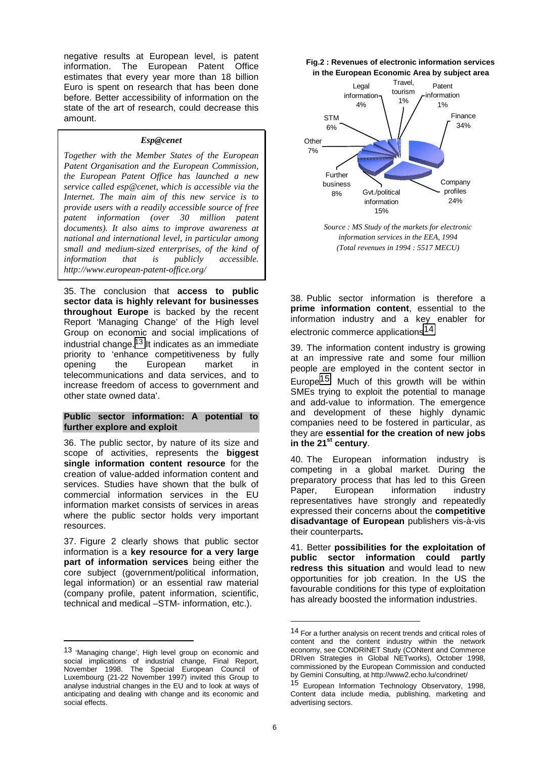negative results at European level, is patent information. The European Patent Office estimates that every year more than 18 billion Euro is spent on research that has been done before. Better accessibility of information on the state of the art of research, could decrease this amount.

#### *Esp@cenet*

*Together with the Member States of the European Patent Organisation and the European Commission, the European Patent Office has launched a new service called esp@cenet, which is accessible via the Internet. The main aim of this new service is to provide users with a readily accessible source of free patent information (over 30 million patent documents). It also aims to improve awareness at national and international level, in particular among small and medium-sized enterprises, of the kind of information that is publicly accessible. http://www.european-patent-office.org/*

35. The conclusion that **access to public sector data is highly relevant for businesses throughout Europe** is backed by the recent Report 'Managing Change' of the High level Group on economic and social implications of industrial change.<sup>13</sup> It indicates as an immediate priority to 'enhance competitiveness by fully opening the European market in telecommunications and data services, and to increase freedom of access to government and other state owned data'.

#### **Public sector information: A potential to further explore and exploit**

36. The public sector, by nature of its size and scope of activities, represents the **biggest single information content resource** for the creation of value-added information content and services. Studies have shown that the bulk of commercial information services in the EU information market consists of services in areas where the public sector holds very important resources.

37. Figure 2 clearly shows that public sector information is a **key resource for a very large part of information services** being either the core subject (government/political information, legal information) or an essential raw material (company profile, patent information, scientific, technical and medical –STM- information, etc.).

 $\overline{a}$ 





*Source : MS Study of the markets for electronic information services in the EEA, 1994 (Total revenues in 1994 : 5517 MECU)*

38. Public sector information is therefore a **prime information content**, essential to the information industry and a key enabler for electronic commerce applications14.

39. The information content industry is growing at an impressive rate and some four million people are employed in the content sector in Europe15. Much of this growth will be within SMEs trying to exploit the potential to manage and add-value to information. The emergence and development of these highly dynamic companies need to be fostered in particular, as they are **essential for the creation of new jobs** in the 21<sup>st</sup> century.

40. The European information industry is competing in a global market. During the preparatory process that has led to this Green Paper, European information industry representatives have strongly and repeatedly expressed their concerns about the **competitive disadvantage of European** publishers vis-à-vis their counterparts**.**

41. Better **possibilities for the exploitation of public sector information could partly redress this situation** and would lead to new opportunities for job creation. In the US the favourable conditions for this type of exploitation has already boosted the information industries.

<sup>13 &#</sup>x27;Managing change', High level group on economic and social implications of industrial change, Final Report, November 1998. The Special European Council of Luxembourg (21-22 November 1997) invited this Group to analyse industrial changes in the EU and to look at ways of anticipating and dealing with change and its economic and social effects.

<sup>14</sup> For a further analysis on recent trends and critical roles of content and the content industry within the network economy, see CONDRINET Study (CONtent and Commerce DRIven Strategies in Global NETworks), October 1998, commissioned by the European Commission and conducted by Gemini Consulting, at http://www2.echo.lu/condrinet/

<sup>15</sup> European Information Technology Observatory, 1998, Content data include media, publishing, marketing and advertising sectors.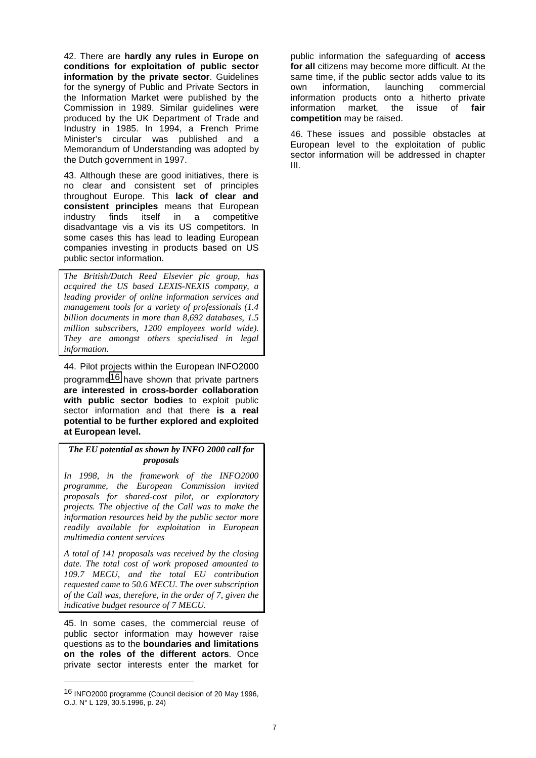42. There are **hardly any rules in Europe on conditions for exploitation of public sector information by the private sector**. Guidelines for the synergy of Public and Private Sectors in the Information Market were published by the Commission in 1989. Similar guidelines were produced by the UK Department of Trade and Industry in 1985. In 1994, a French Prime Minister's circular was published and a Memorandum of Understanding was adopted by the Dutch government in 1997.

43. Although these are good initiatives, there is no clear and consistent set of principles throughout Europe. This **lack of clear and consistent principles** means that European industry finds itself in a competitive disadvantage vis a vis its US competitors. In some cases this has lead to leading European companies investing in products based on US public sector information.

*The British/Dutch Reed Elsevier plc group, has acquired the US based LEXIS-NEXIS company, a leading provider of online information services and management tools for a variety of professionals (1.4 billion documents in more than 8,692 databases, 1.5 million subscribers, 1200 employees world wide). They are amongst others specialised in legal information*.

44. Pilot projects within the European INFO2000 programme16 have shown that private partners **are interested in cross-border collaboration with public sector bodies** to exploit public sector information and that there **is a real potential to be further explored and exploited at European level.**

*The EU potential as shown by INFO 2000 call for proposals*

*In 1998, in the framework of the INFO2000 programme, the European Commission invited proposals for shared-cost pilot, or exploratory projects. The objective of the Call was to make the information resources held by the public sector more readily available for exploitation in European multimedia content services*

*A total of 141 proposals was received by the closing date. The total cost of work proposed amounted to 109.7 MECU, and the total EU contribution requested came to 50.6 MECU. The over subscription of the Call was, therefore, in the order of 7, given the indicative budget resource of 7 MECU.*

45. In some cases, the commercial reuse of public sector information may however raise questions as to the **boundaries and limitations on the roles of the different actors**. Once private sector interests enter the market for

public information the safeguarding of **access for all** citizens may become more difficult. At the same time, if the public sector adds value to its own information, launching commercial information products onto a hitherto private information market, the issue of **fair competition** may be raised.

46. These issues and possible obstacles at European level to the exploitation of public sector information will be addressed in chapter III.

<sup>16</sup> INFO2000 programme (Council decision of 20 May 1996, O.J. N° L 129, 30.5.1996, p. 24)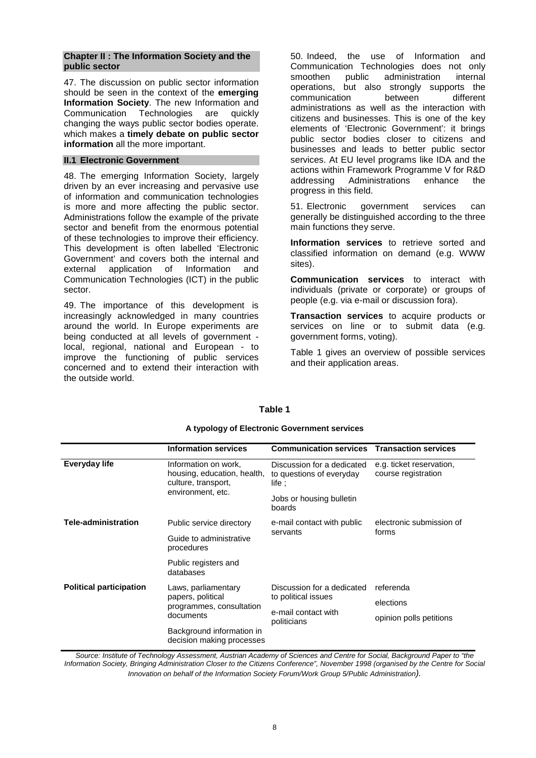#### <span id="page-9-0"></span>**Chapter II : The Information Society and the public sector**

47. The discussion on public sector information should be seen in the context of the **emerging Information Society**. The new Information and Communication Technologies are quickly changing the ways public sector bodies operate. which makes a **timely debate on public sector information** all the more important.

## **II.1 Electronic Government**

48. The emerging Information Society, largely driven by an ever increasing and pervasive use of information and communication technologies is more and more affecting the public sector. Administrations follow the example of the private sector and benefit from the enormous potential of these technologies to improve their efficiency. This development is often labelled 'Electronic Government' and covers both the internal and external application of Information and Communication Technologies (ICT) in the public sector.

49. The importance of this development is increasingly acknowledged in many countries around the world. In Europe experiments are being conducted at all levels of government local, regional, national and European - to improve the functioning of public services concerned and to extend their interaction with the outside world.

50. Indeed, the use of Information and Communication Technologies does not only smoothen public administration internal operations, but also strongly supports the communication between different administrations as well as the interaction with citizens and businesses. This is one of the key elements of 'Electronic Government': it brings public sector bodies closer to citizens and businesses and leads to better public sector services. At EU level programs like IDA and the actions within Framework Programme V for R&D addressing Administrations enhance the progress in this field.

51. Electronic government services can generally be distinguished according to the three main functions they serve.

**Information services** to retrieve sorted and classified information on demand (e.g. WWW sites).

**Communication services** to interact with individuals (private or corporate) or groups of people (e.g. via e-mail or discussion fora).

**Transaction services** to acquire products or services on line or to submit data (e.g. government forms, voting).

Table 1 gives an overview of possible services and their application areas.

|                                | <b>Information services</b>                                                                     | <b>Communication services</b>                                               | <b>Transaction services</b>                     |  |
|--------------------------------|-------------------------------------------------------------------------------------------------|-----------------------------------------------------------------------------|-------------------------------------------------|--|
| Everyday life                  | Information on work,<br>housing, education, health,<br>culture, transport,<br>environment, etc. | Discussion for a dedicated<br>to questions of everyday<br>$\mathsf{life}$ : | e.g. ticket reservation,<br>course registration |  |
|                                |                                                                                                 | Jobs or housing bulletin<br>boards                                          |                                                 |  |
| <b>Tele-administration</b>     | Public service directory                                                                        | e-mail contact with public<br>servants                                      | electronic submission of<br>forms               |  |
|                                | Guide to administrative<br>procedures                                                           |                                                                             |                                                 |  |
|                                | Public registers and<br>databases                                                               |                                                                             |                                                 |  |
| <b>Political participation</b> | Laws, parliamentary<br>papers, political<br>programmes, consultation<br>documents               | Discussion for a dedicated                                                  | referenda                                       |  |
|                                |                                                                                                 | to political issues                                                         | elections                                       |  |
|                                |                                                                                                 | e-mail contact with<br>politicians                                          | opinion polls petitions                         |  |
|                                | Background information in<br>decision making processes                                          |                                                                             |                                                 |  |

#### **A typology of Electronic Government services**

**Table 1**

*Source: Institute of Technology Assessment, Austrian Academy of Sciences and Centre for Social, Background Paper to "the Information Society, Bringing Administration Closer to the Citizens Conference", November 1998 (organised by the Centre for Social Innovation on behalf of the Information Society Forum/Work Group 5/Public Administration).*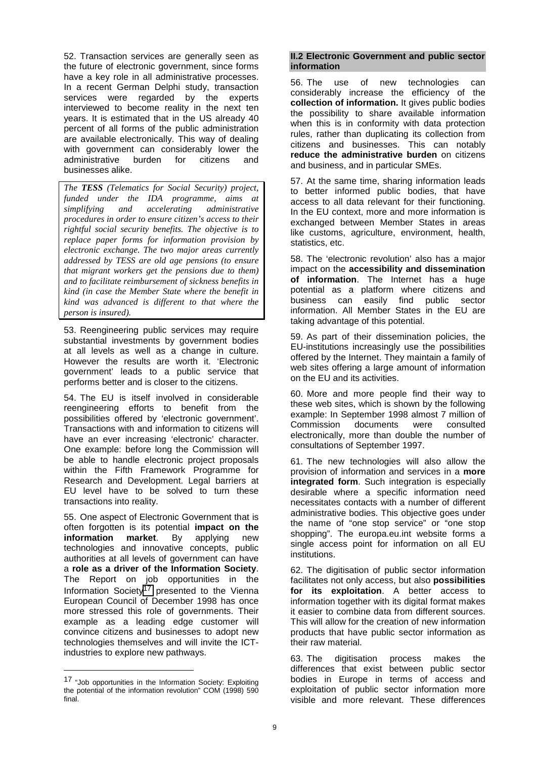<span id="page-10-0"></span>52. Transaction services are generally seen as the future of electronic government, since forms have a key role in all administrative processes. In a recent German Delphi study, transaction services were regarded by the experts interviewed to become reality in the next ten years. It is estimated that in the US already 40 percent of all forms of the public administration are available electronically. This way of dealing with government can considerably lower the administrative burden for citizens and businesses alike.

*The TESS (Telematics for Social Security) project, funded under the IDA programme, aims at simplifying and accelerating administrative procedures in order to ensure citizen's access to their rightful social security benefits. The objective is to replace paper forms for information provision by electronic exchange. The two major areas currently addressed by TESS are old age pensions (to ensure that migrant workers get the pensions due to them) and to facilitate reimbursement of sickness benefits in kind (in case the Member State where the benefit in kind was advanced is different to that where the person is insured).*

53. Reengineering public services may require substantial investments by government bodies at all levels as well as a change in culture. However the results are worth it. 'Electronic government' leads to a public service that performs better and is closer to the citizens.

54. The EU is itself involved in considerable reengineering efforts to benefit from the possibilities offered by 'electronic government'. Transactions with and information to citizens will have an ever increasing 'electronic' character. One example: before long the Commission will be able to handle electronic project proposals within the Fifth Framework Programme for Research and Development. Legal barriers at EU level have to be solved to turn these transactions into reality.

55. One aspect of Electronic Government that is often forgotten is its potential **impact on the information market**. By applying new technologies and innovative concepts, public authorities at all levels of government can have a **role as a driver of the Information Society**. The Report on job opportunities in the Information Society<sup>17</sup> presented to the Vienna European Council of December 1998 has once more stressed this role of governments. Their example as a leading edge customer will convince citizens and businesses to adopt new technologies themselves and will invite the ICTindustries to explore new pathways.

 $\overline{a}$ 

#### **II.2 Electronic Government and public sector information**

56. The use of new technologies can considerably increase the efficiency of the **collection of information.** It gives public bodies the possibility to share available information when this is in conformity with data protection rules, rather than duplicating its collection from citizens and businesses. This can notably **reduce the administrative burden** on citizens and business, and in particular SMEs.

57. At the same time, sharing information leads to better informed public bodies, that have access to all data relevant for their functioning. In the EU context, more and more information is exchanged between Member States in areas like customs, agriculture, environment, health, statistics, etc.

58. The 'electronic revolution' also has a major impact on the **accessibility and dissemination of information**. The Internet has a huge potential as a platform where citizens and business can easily find public sector information. All Member States in the EU are taking advantage of this potential.

59. As part of their dissemination policies, the EU-institutions increasingly use the possibilities offered by the Internet. They maintain a family of web sites offering a large amount of information on the EU and its activities.

60. More and more people find their way to these web sites, which is shown by the following example: In September 1998 almost 7 million of Commission documents were consulted electronically, more than double the number of consultations of September 1997.

61. The new technologies will also allow the provision of information and services in a **more integrated form**. Such integration is especially desirable where a specific information need necessitates contacts with a number of different administrative bodies. This objective goes under the name of "one stop service" or "one stop shopping". The europa.eu.int website forms a single access point for information on all EU institutions.

62. The digitisation of public sector information facilitates not only access, but also **possibilities for its exploitation**. A better access to information together with its digital format makes it easier to combine data from different sources. This will allow for the creation of new information products that have public sector information as their raw material.

63. The digitisation process makes the differences that exist between public sector bodies in Europe in terms of access and exploitation of public sector information more visible and more relevant. These differences

<sup>17 &</sup>quot;Job opportunities in the Information Society: Exploiting the potential of the information revolution" COM (1998) 590 final.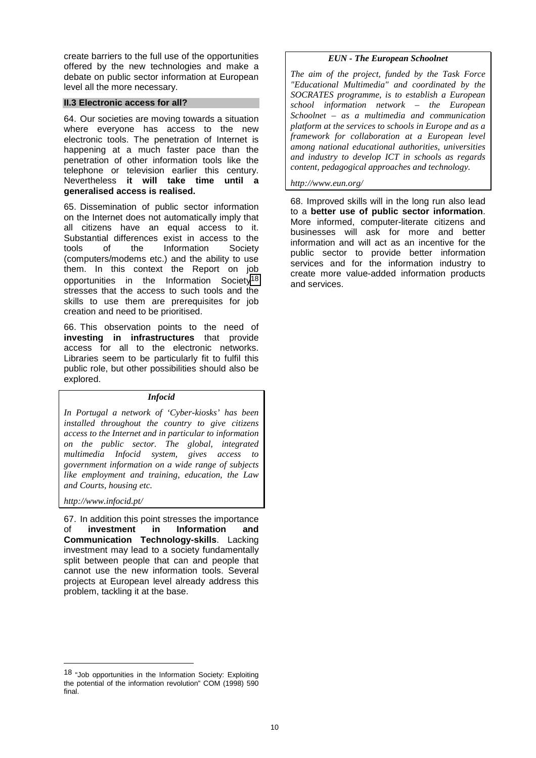<span id="page-11-0"></span>create barriers to the full use of the opportunities offered by the new technologies and make a debate on public sector information at European level all the more necessary.

#### **II.3 Electronic access for all?**

64. Our societies are moving towards a situation where everyone has access to the new electronic tools. The penetration of Internet is happening at a much faster pace than the penetration of other information tools like the telephone or television earlier this century. Nevertheless **it will take time until a generalised access is realised.**

65. Dissemination of public sector information on the Internet does not automatically imply that all citizens have an equal access to it. Substantial differences exist in access to the tools of the Information Society (computers/modems etc.) and the ability to use them. In this context the Report on job opportunities in the Information Society18 stresses that the access to such tools and the skills to use them are prerequisites for job creation and need to be prioritised.

66. This observation points to the need of **investing in infrastructures** that provide access for all to the electronic networks. Libraries seem to be particularly fit to fulfil this public role, but other possibilities should also be explored.

#### *Infocid*

*In Portugal a network of 'Cyber-kiosks' has been installed throughout the country to give citizens access to the Internet and in particular to information on the public sector. The global, integrated multimedia Infocid system, gives access to government information on a wide range of subjects like employment and training, education, the Law and Courts, housing etc.*

#### *http://www.infocid.pt/*

 $\overline{a}$ 

67. In addition this point stresses the importance of **investment in Information and Communication Technology-skills**. Lacking investment may lead to a society fundamentally split between people that can and people that cannot use the new information tools. Several projects at European level already address this problem, tackling it at the base.

# *EUN - The European Schoolnet*

*The aim of the project, funded by the Task Force "Educational Multimedia" and coordinated by the SOCRATES programme, is to establish a European school information network – the European Schoolnet – as a multimedia and communication platform at the services to schools in Europe and as a framework for collaboration at a European level among national educational authorities, universities and industry to develop ICT in schools as regards content, pedagogical approaches and technology.*

# *http://www.eun.org/*

68. Improved skills will in the long run also lead to a **better use of public sector information**. More informed, computer-literate citizens and businesses will ask for more and better information and will act as an incentive for the public sector to provide better information services and for the information industry to create more value-added information products and services.

<sup>18 &</sup>quot;Job opportunities in the Information Society: Exploiting the potential of the information revolution" COM (1998) 590 final.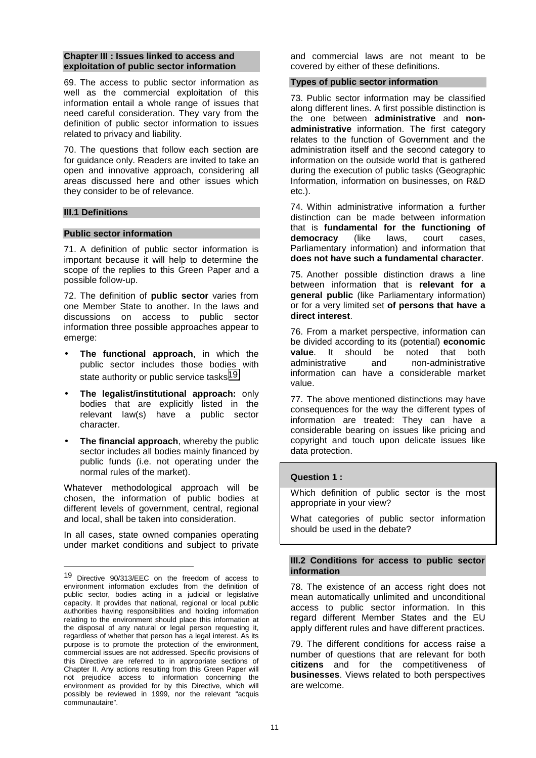#### <span id="page-12-0"></span>**Chapter III : Issues linked to access and exploitation of public sector information**

69. The access to public sector information as well as the commercial exploitation of this information entail a whole range of issues that need careful consideration. They vary from the definition of public sector information to issues related to privacy and liability.

70. The questions that follow each section are for guidance only. Readers are invited to take an open and innovative approach, considering all areas discussed here and other issues which they consider to be of relevance.

## **III.1 Definitions**

 $\overline{a}$ 

## **Public sector information**

71. A definition of public sector information is important because it will help to determine the scope of the replies to this Green Paper and a possible follow-up.

72. The definition of **public sector** varies from one Member State to another. In the laws and discussions on access to public sector information three possible approaches appear to emerge:

- **The functional approach**, in which the public sector includes those bodies with state authority or public service tasks<sup>19</sup>.
- **The legalist/institutional approach:** only bodies that are explicitly listed in the relevant law(s) have a public sector character.
- **The financial approach, whereby the public** sector includes all bodies mainly financed by public funds (i.e. not operating under the normal rules of the market).

Whatever methodological approach will be chosen, the information of public bodies at different levels of government, central, regional and local, shall be taken into consideration.

In all cases, state owned companies operating under market conditions and subject to private

and commercial laws are not meant to be covered by either of these definitions.

#### **Types of public sector information**

73. Public sector information may be classified along different lines. A first possible distinction is the one between **administrative** and **nonadministrative** information. The first category relates to the function of Government and the administration itself and the second category to information on the outside world that is gathered during the execution of public tasks (Geographic Information, information on businesses, on R&D etc.).

74. Within administrative information a further distinction can be made between information that is **fundamental for the functioning of democracy** (like laws, court cases, Parliamentary information) and information that **does not have such a fundamental character**.

75. Another possible distinction draws a line between information that is **relevant for a general public** (like Parliamentary information) or for a very limited set **of persons that have a direct interest**.

76. From a market perspective, information can be divided according to its (potential) **economic value**. It should be noted that both administrative and non-administrative information can have a considerable market value.

77. The above mentioned distinctions may have consequences for the way the different types of information are treated: They can have a considerable bearing on issues like pricing and copyright and touch upon delicate issues like data protection.

# **Question 1 :**

Which definition of public sector is the most appropriate in your view?

What categories of public sector information should be used in the debate?

#### **III.2 Conditions for access to public sector information**

78. The existence of an access right does not mean automatically unlimited and unconditional access to public sector information. In this regard different Member States and the EU apply different rules and have different practices.

79. The different conditions for access raise a number of questions that are relevant for both **citizens** and for the competitiveness of **businesses**. Views related to both perspectives are welcome.

<sup>19</sup> Directive 90/313/EEC on the freedom of access to environment information excludes from the definition of public sector, bodies acting in a judicial or legislative capacity. It provides that national, regional or local public authorities having responsibilities and holding information relating to the environment should place this information at the disposal of any natural or legal person requesting it, regardless of whether that person has a legal interest. As its purpose is to promote the protection of the environment, commercial issues are not addressed. Specific provisions of this Directive are referred to in appropriate sections of Chapter II. Any actions resulting from this Green Paper will not prejudice access to information concerning the environment as provided for by this Directive, which will possibly be reviewed in 1999, nor the relevant "acquis communautaire".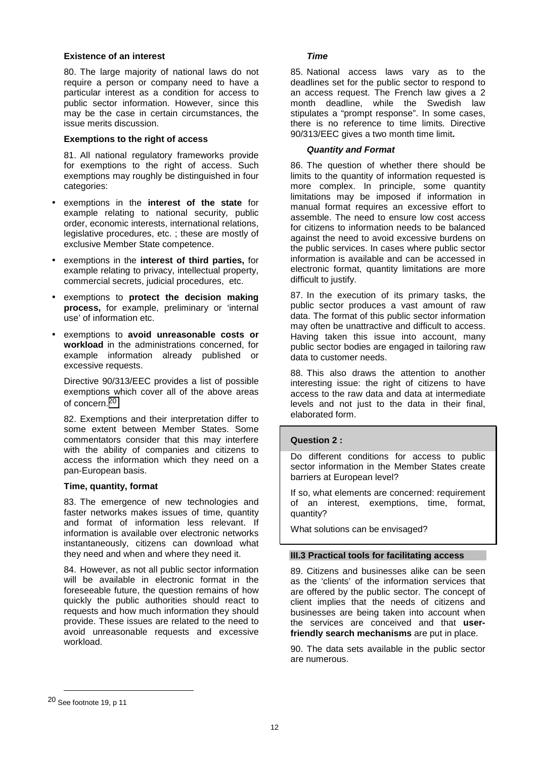#### <span id="page-13-0"></span>**Existence of an interest**

80. The large majority of national laws do not require a person or company need to have a particular interest as a condition for access to public sector information. However, since this may be the case in certain circumstances, the issue merits discussion.

#### **Exemptions to the right of access**

81. All national regulatory frameworks provide for exemptions to the right of access. Such exemptions may roughly be distinguished in four categories:

- exemptions in the **interest of the state** for example relating to national security, public order, economic interests, international relations, legislative procedures, etc. ; these are mostly of exclusive Member State competence.
- exemptions in the **interest of third parties,** for example relating to privacy, intellectual property, commercial secrets, judicial procedures, etc.
- exemptions to **protect the decision making process,** for example, preliminary or 'internal use' of information etc.
- exemptions to **avoid unreasonable costs or workload** in the administrations concerned, for example information already published or excessive requests.

Directive 90/313/EEC provides a list of possible exemptions which cover all of the above areas of concern.20

82. Exemptions and their interpretation differ to some extent between Member States. Some commentators consider that this may interfere with the ability of companies and citizens to access the information which they need on a pan-European basis.

# **Time, quantity, format**

83. The emergence of new technologies and faster networks makes issues of time, quantity and format of information less relevant. If information is available over electronic networks instantaneously, citizens can download what they need and when and where they need it.

84. However, as not all public sector information will be available in electronic format in the foreseeable future, the question remains of how quickly the public authorities should react to requests and how much information they should provide. These issues are related to the need to avoid unreasonable requests and excessive workload.

#### *Time*

85. National access laws vary as to the deadlines set for the public sector to respond to an access request. The French law gives a 2 month deadline, while the Swedish law stipulates a "prompt response". In some cases, there is no reference to time limits*.* Directive 90/313/EEC gives a two month time limit**.**

## *Quantity and Format*

86. The question of whether there should be limits to the quantity of information requested is more complex. In principle, some quantity limitations may be imposed if information in manual format requires an excessive effort to assemble. The need to ensure low cost access for citizens to information needs to be balanced against the need to avoid excessive burdens on the public services. In cases where public sector information is available and can be accessed in electronic format, quantity limitations are more difficult to justify.

87. In the execution of its primary tasks, the public sector produces a vast amount of raw data. The format of this public sector information may often be unattractive and difficult to access. Having taken this issue into account, many public sector bodies are engaged in tailoring raw data to customer needs.

88. This also draws the attention to another interesting issue: the right of citizens to have access to the raw data and data at intermediate levels and not just to the data in their final. elaborated form.

# **Question 2 :**

Do different conditions for access to public sector information in the Member States create barriers at European level?

If so, what elements are concerned: requirement of an interest, exemptions, time, format, quantity?

What solutions can be envisaged?

#### **III.3 Practical tools for facilitating access**

89. Citizens and businesses alike can be seen as the 'clients' of the information services that are offered by the public sector. The concept of client implies that the needs of citizens and businesses are being taken into account when the services are conceived and that **userfriendly search mechanisms** are put in place.

90. The data sets available in the public sector are numerous.

<sup>20</sup> See footnote 19, p 11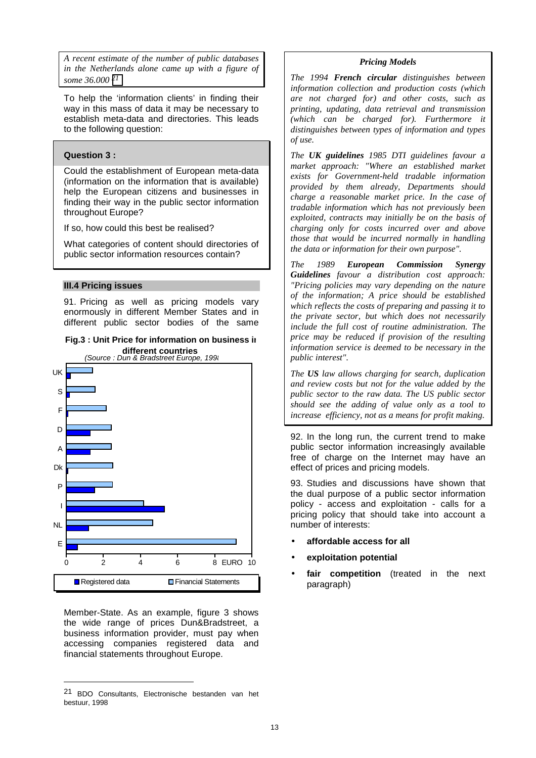<span id="page-14-0"></span>*A recent estimate of the number of public databases in the Netherlands alone came up with a figure of some 36.000 21*

To help the 'information clients' in finding their way in this mass of data it may be necessary to establish meta-data and directories. This leads to the following question:

# **Question 3 :**

Could the establishment of European meta-data (information on the information that is available) help the European citizens and businesses in finding their way in the public sector information throughout Europe?

If so, how could this best be realised?

What categories of content should directories of public sector information resources contain?

#### **III.4 Pricing issues**

91. Pricing as well as pricing models vary enormously in different Member States and in different public sector bodies of the same





Member-State. As an example, figure 3 shows the wide range of prices Dun&Bradstreet, a business information provider, must pay when accessing companies registered data and financial statements throughout Europe.

#### *Pricing Models*

*The 1994 French circular distinguishes between information collection and production costs (which are not charged for) and other costs, such as printing, updating, data retrieval and transmission (which can be charged for). Furthermore it distinguishes between types of information and types of use.*

*The UK guidelines 1985 DTI guidelines favour a market approach: "Where an established market exists for Government-held tradable information provided by them already, Departments should charge a reasonable market price. In the case of tradable information which has not previously been exploited, contracts may initially be on the basis of charging only for costs incurred over and above those that would be incurred normally in handling the data or information for their own purpose".*

*The 1989 European Commission Synergy Guidelines favour a distribution cost approach: "Pricing policies may vary depending on the nature of the information; A price should be established which reflects the costs of preparing and passing it to the private sector, but which does not necessarily include the full cost of routine administration. The price may be reduced if provision of the resulting information service is deemed to be necessary in the public interest".*

*The US law allows charging for search, duplication and review costs but not for the value added by the public sector to the raw data. The US public sector should see the adding of value only as a tool to increase efficiency, not as a means for profit making.*

92. In the long run, the current trend to make public sector information increasingly available free of charge on the Internet may have an effect of prices and pricing models.

93. Studies and discussions have shown that the dual purpose of a public sector information policy - access and exploitation - calls for a pricing policy that should take into account a number of interests:

- **affordable access for all**
- **exploitation potential**
- **fair competition** (treated in the next paragraph)

<sup>21</sup> BDO Consultants, Electronische bestanden van het bestuur, 1998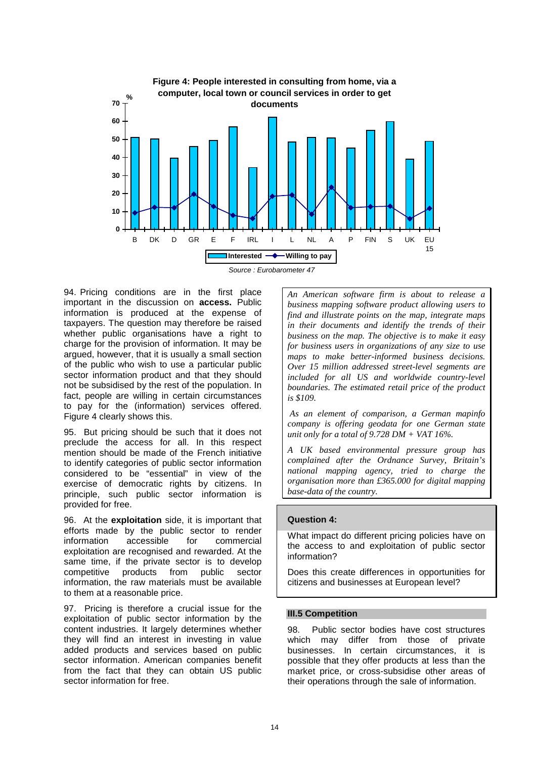<span id="page-15-0"></span>

*Source : Eurobarometer 47*

94. Pricing conditions are in the first place important in the discussion on **access.** Public information is produced at the expense of taxpayers. The question may therefore be raised whether public organisations have a right to charge for the provision of information. It may be argued, however, that it is usually a small section of the public who wish to use a particular public sector information product and that they should not be subsidised by the rest of the population. In fact, people are willing in certain circumstances to pay for the (information) services offered. Figure 4 clearly shows this.

95. But pricing should be such that it does not preclude the access for all. In this respect mention should be made of the French initiative to identify categories of public sector information considered to be "essential" in view of the exercise of democratic rights by citizens. In principle, such public sector information is provided for free.

96. At the **exploitation** side, it is important that efforts made by the public sector to render information accessible for commercial exploitation are recognised and rewarded. At the same time, if the private sector is to develop competitive products from public sector information, the raw materials must be available to them at a reasonable price.

97. Pricing is therefore a crucial issue for the exploitation of public sector information by the content industries. It largely determines whether they will find an interest in investing in value added products and services based on public sector information. American companies benefit from the fact that they can obtain US public sector information for free.

*An American software firm is about to release a business mapping software product allowing users to find and illustrate points on the map, integrate maps in their documents and identify the trends of their business on the map. The objective is to make it easy for business users in organizations of any size to use maps to make better-informed business decisions. Over 15 million addressed street-level segments are included for all US and worldwide country-level boundaries. The estimated retail price of the product is \$109.*

 *As an element of comparison, a German mapinfo company is offering geodata for one German state unit only for a total of 9.728 DM + VAT 16%.*

*A UK based environmental pressure group has complained after the Ordnance Survey, Britain's national mapping agency, tried to charge the organisation more than £365.000 for digital mapping base-data of the country.*

# **Question 4:**

What impact do different pricing policies have on the access to and exploitation of public sector information?

Does this create differences in opportunities for citizens and businesses at European level?

# **III.5 Competition**

98. Public sector bodies have cost structures which may differ from those of private businesses. In certain circumstances, it is possible that they offer products at less than the market price, or cross-subsidise other areas of their operations through the sale of information.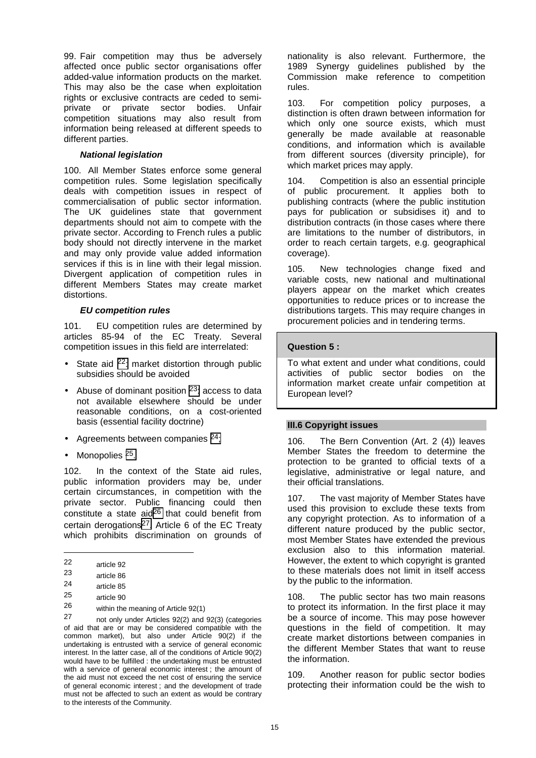<span id="page-16-0"></span>99. Fair competition may thus be adversely affected once public sector organisations offer added-value information products on the market. This may also be the case when exploitation rights or exclusive contracts are ceded to semiprivate or private sector bodies. Unfair competition situations may also result from information being released at different speeds to different parties.

# *National legislation*

100. All Member States enforce some general competition rules. Some legislation specifically deals with competition issues in respect of commercialisation of public sector information. The UK guidelines state that government departments should not aim to compete with the private sector. According to French rules a public body should not directly intervene in the market and may only provide value added information services if this is in line with their legal mission. Divergent application of competition rules in different Members States may create market distortions.

#### *EU competition rules*

101. EU competition rules are determined by articles 85-94 of the EC Treaty. Several competition issues in this field are interrelated:

- State aid  $22$ : market distortion through public subsidies should be avoided
- Abuse of dominant position <sup>23</sup>: access to data not available elsewhere should be under reasonable conditions, on a cost-oriented basis (essential facility doctrine)
- Agreements between companies  $24$ ;
- Monopolies 25.

102. In the context of the State aid rules, public information providers may be, under certain circumstances, in competition with the private sector. Public financing could then constitute a state aid<sup>26</sup> that could benefit from certain derogations<sup>27</sup>. Article 6 of the EC Treatv which prohibits discrimination on grounds of

 $\overline{a}$ 

not only under Articles 92(2) and 92(3) (categories of aid that are or may be considered compatible with the common market), but also under Article 90(2) if the undertaking is entrusted with a service of general economic interest. In the latter case, all of the conditions of Article 90(2) would have to be fulfilled : the undertaking must be entrusted with a service of general economic interest ; the amount of the aid must not exceed the net cost of ensuring the service of general economic interest ; and the development of trade must not be affected to such an extent as would be contrary to the interests of the Community.

nationality is also relevant. Furthermore, the 1989 Synergy guidelines published by the Commission make reference to competition rules.

103. For competition policy purposes, a distinction is often drawn between information for which only one source exists, which must generally be made available at reasonable conditions, and information which is available from different sources (diversity principle), for which market prices may apply.

104. Competition is also an essential principle of public procurement. It applies both to publishing contracts (where the public institution pays for publication or subsidises it) and to distribution contracts (in those cases where there are limitations to the number of distributors, in order to reach certain targets, e.g. geographical coverage).

105. New technologies change fixed and variable costs, new national and multinational players appear on the market which creates opportunities to reduce prices or to increase the distributions targets. This may require changes in procurement policies and in tendering terms.

#### **Question 5 :**

To what extent and under what conditions, could activities of public sector bodies on the information market create unfair competition at European level?

#### **III.6 Copyright issues**

106. The Bern Convention (Art. 2 (4)) leaves Member States the freedom to determine the protection to be granted to official texts of a legislative, administrative or legal nature, and their official translations.

107. The vast majority of Member States have used this provision to exclude these texts from any copyright protection. As to information of a different nature produced by the public sector, most Member States have extended the previous exclusion also to this information material. However, the extent to which copyright is granted to these materials does not limit in itself access by the public to the information.

108. The public sector has two main reasons to protect its information. In the first place it may be a source of income. This may pose however questions in the field of competition. It may create market distortions between companies in the different Member States that want to reuse the information.

109. Another reason for public sector bodies protecting their information could be the wish to

<sup>22</sup> article 92

<sup>23</sup> article 86

 $\frac{24}{25}$  article 85

 $\frac{25}{26}$  article 90

<sup>26</sup> within the meaning of Article 92(1)<br>27 metabratic metabolisment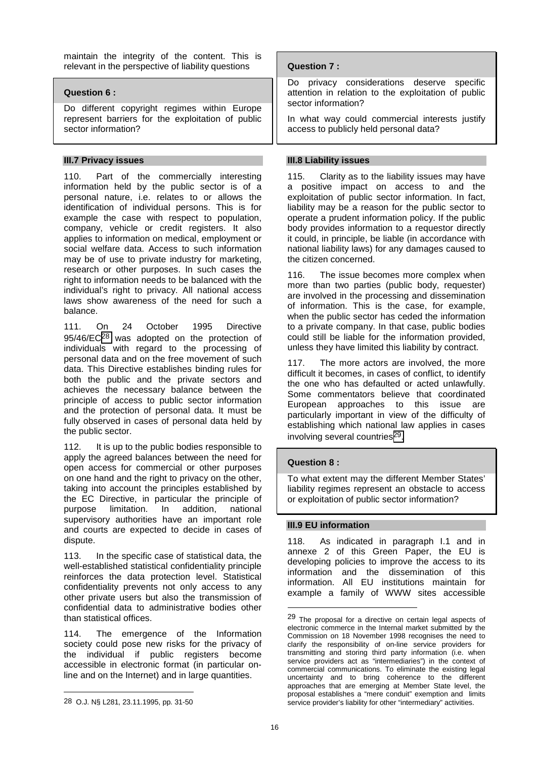<span id="page-17-0"></span>maintain the integrity of the content. This is relevant in the perspective of liability questions

# **Question 6 :**

Do different copyright regimes within Europe represent barriers for the exploitation of public sector information?

# **III.7 Privacy issues**

110. Part of the commercially interesting information held by the public sector is of a personal nature, i.e. relates to or allows the identification of individual persons. This is for example the case with respect to population, company, vehicle or credit registers. It also applies to information on medical, employment or social welfare data. Access to such information may be of use to private industry for marketing, research or other purposes. In such cases the right to information needs to be balanced with the individual's right to privacy. All national access laws show awareness of the need for such a balance.

111. On 24 October 1995 Directive 95/46/EC28 was adopted on the protection of individuals with regard to the processing of personal data and on the free movement of such data. This Directive establishes binding rules for both the public and the private sectors and achieves the necessary balance between the principle of access to public sector information and the protection of personal data. It must be fully observed in cases of personal data held by the public sector.

112. It is up to the public bodies responsible to apply the agreed balances between the need for open access for commercial or other purposes on one hand and the right to privacy on the other, taking into account the principles established by the EC Directive, in particular the principle of purpose limitation. In addition, national supervisory authorities have an important role and courts are expected to decide in cases of dispute.

113. In the specific case of statistical data, the well-established statistical confidentiality principle reinforces the data protection level. Statistical confidentiality prevents not only access to any other private users but also the transmission of confidential data to administrative bodies other than statistical offices.

114. The emergence of the Information society could pose new risks for the privacy of the individual if public registers become accessible in electronic format (in particular online and on the Internet) and in large quantities.

 $\overline{a}$ 

# **Question 7 :**

Do privacy considerations deserve specific attention in relation to the exploitation of public sector information?

In what way could commercial interests justify access to publicly held personal data?

# **III.8 Liability issues**

115. Clarity as to the liability issues may have a positive impact on access to and the exploitation of public sector information. In fact, liability may be a reason for the public sector to operate a prudent information policy. If the public body provides information to a requestor directly it could, in principle, be liable (in accordance with national liability laws) for any damages caused to the citizen concerned.

116. The issue becomes more complex when more than two parties (public body, requester) are involved in the processing and dissemination of information. This is the case, for example, when the public sector has ceded the information to a private company. In that case, public bodies could still be liable for the information provided, unless they have limited this liability by contract.

117. The more actors are involved, the more difficult it becomes, in cases of conflict, to identify the one who has defaulted or acted unlawfully. Some commentators believe that coordinated European approaches to this issue are particularly important in view of the difficulty of establishing which national law applies in cases involving several countries<sup>29</sup>.

# **Question 8 :**

To what extent may the different Member States' liability regimes represent an obstacle to access or exploitation of public sector information?

#### **III.9 EU information**

118. As indicated in paragraph I.1 and in annexe 2 of this Green Paper, the EU is developing policies to improve the access to its information and the dissemination of this information. All EU institutions maintain for example a family of WWW sites accessible

<sup>28</sup> O.J. N§ L281, 23.11.1995, pp. 31-50

<sup>&</sup>lt;sup>29</sup> The proposal for a directive on certain legal aspects of electronic commerce in the Internal market submitted by the Commission on 18 November 1998 recognises the need to clarify the responsibility of on-line service providers for transmitting and storing third party information (i.e. when service providers act as "intermediaries") in the context of commercial communications. To eliminate the existing legal uncertainty and to bring coherence to the different approaches that are emerging at Member State level, the proposal establishes a "mere conduit" exemption and limits service provider's liability for other "intermediary" activities.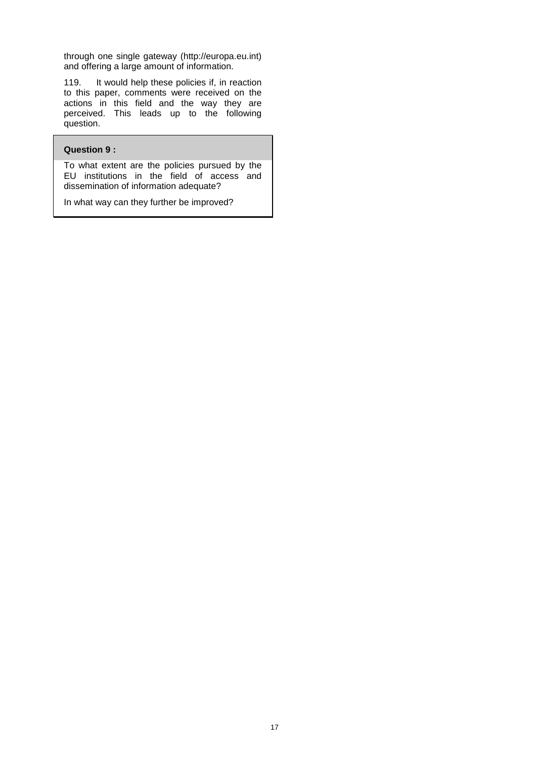through one single gateway (http://europa.eu.int) and offering a large amount of information.

119. It would help these policies if, in reaction to this paper, comments were received on the actions in this field and the way they are perceived. This leads up to the following question.

#### **Question 9 :**

To what extent are the policies pursued by the EU institutions in the field of access and dissemination of information adequate?

In what way can they further be improved?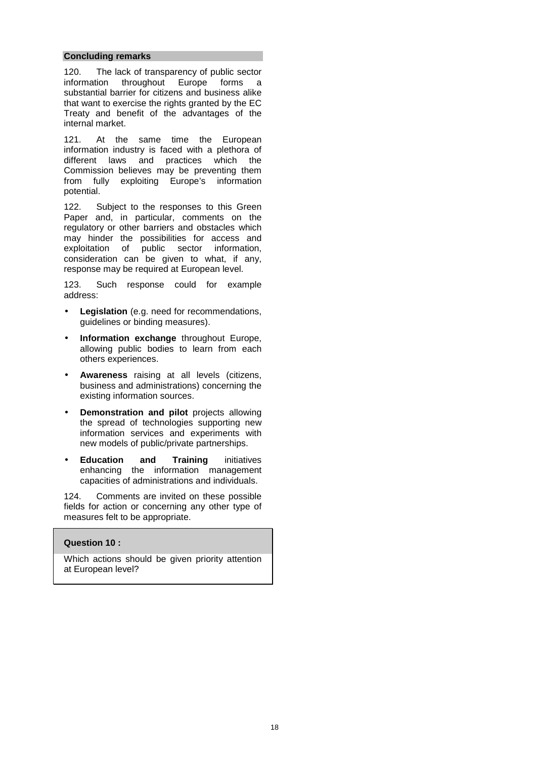#### **Concluding remarks**

120. The lack of transparency of public sector information throughout Europe forms a substantial barrier for citizens and business alike that want to exercise the rights granted by the EC Treaty and benefit of the advantages of the internal market.

121. At the same time the European information industry is faced with a plethora of different laws and practices which the Commission believes may be preventing them from fully exploiting Europe's information potential.

122. Subject to the responses to this Green Paper and, in particular, comments on the regulatory or other barriers and obstacles which may hinder the possibilities for access and exploitation of public sector information, consideration can be given to what, if any, response may be required at European level.

123. Such response could for example address:

- Legislation (e.g. need for recommendations, guidelines or binding measures).
- **Information exchange** throughout Europe, allowing public bodies to learn from each others experiences.
- **Awareness** raising at all levels (citizens, business and administrations) concerning the existing information sources.
- **Demonstration and pilot** projects allowing the spread of technologies supporting new information services and experiments with new models of public/private partnerships.
- **Education and Training** initiatives enhancing the information management capacities of administrations and individuals.

124. Comments are invited on these possible fields for action or concerning any other type of measures felt to be appropriate.

# **Question 10 :**

Which actions should be given priority attention at European level?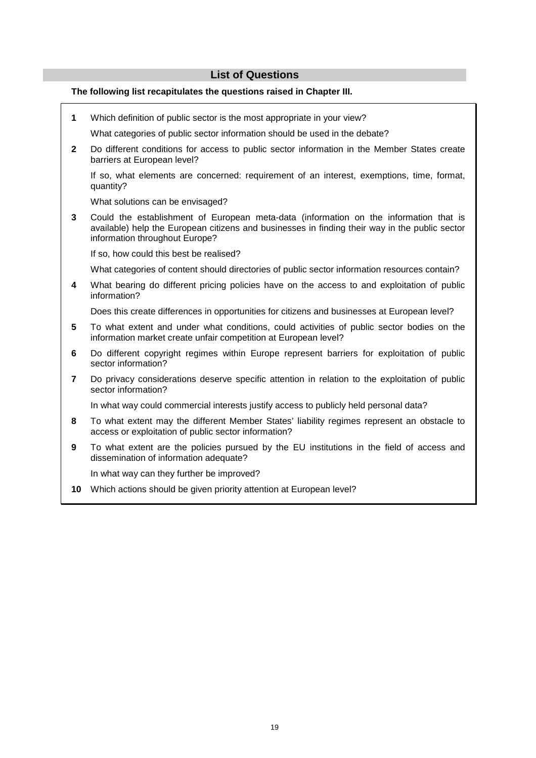# **List of Questions**

## **The following list recapitulates the questions raised in Chapter III.**

- **1** Which definition of public sector is the most appropriate in your view? What categories of public sector information should be used in the debate? **2** Do different conditions for access to public sector information in the Member States create barriers at European level? If so, what elements are concerned: requirement of an interest, exemptions, time, format, quantity? What solutions can be envisaged? **3** Could the establishment of European meta-data (information on the information that is available) help the European citizens and businesses in finding their way in the public sector information throughout Europe? If so, how could this best be realised? What categories of content should directories of public sector information resources contain? **4** What bearing do different pricing policies have on the access to and exploitation of public information? Does this create differences in opportunities for citizens and businesses at European level? **5** To what extent and under what conditions, could activities of public sector bodies on the information market create unfair competition at European level? **6** Do different copyright regimes within Europe represent barriers for exploitation of public sector information? **7** Do privacy considerations deserve specific attention in relation to the exploitation of public sector information? In what way could commercial interests justify access to publicly held personal data? **8** To what extent may the different Member States' liability regimes represent an obstacle to access or exploitation of public sector information? **9** To what extent are the policies pursued by the EU institutions in the field of access and dissemination of information adequate? In what way can they further be improved?
	- **10** Which actions should be given priority attention at European level?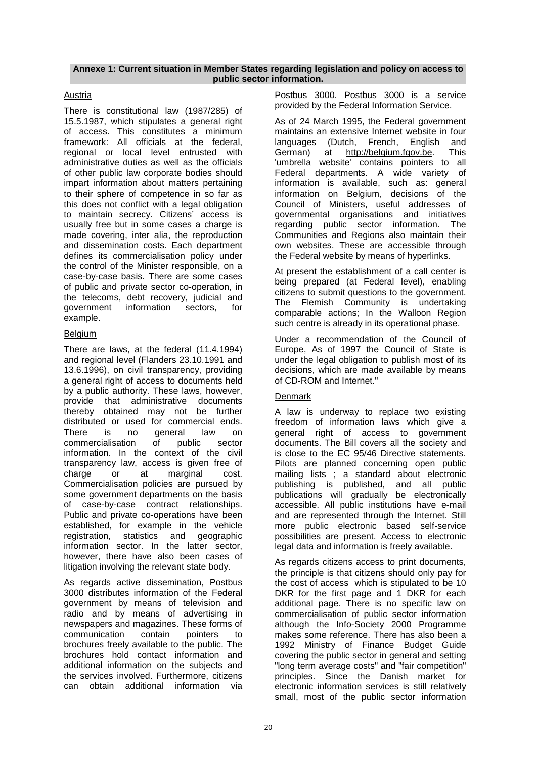#### **Annexe 1: Current situation in Member States regarding legislation and policy on access to public sector information.**

# Austria

There is constitutional law (1987/285) of 15.5.1987, which stipulates a general right of access. This constitutes a minimum framework: All officials at the federal, regional or local level entrusted with administrative duties as well as the officials of other public law corporate bodies should impart information about matters pertaining to their sphere of competence in so far as this does not conflict with a legal obligation to maintain secrecy. Citizens' access is usually free but in some cases a charge is made covering, inter alia, the reproduction and dissemination costs. Each department defines its commercialisation policy under the control of the Minister responsible, on a case-by-case basis. There are some cases of public and private sector co-operation, in the telecoms, debt recovery, judicial and government information sectors, for example.

# Belgium

There are laws, at the federal (11.4.1994) and regional level (Flanders 23.10.1991 and 13.6.1996), on civil transparency, providing a general right of access to documents held by a public authority. These laws, however, provide that administrative documents thereby obtained may not be further distributed or used for commercial ends. There is no general law on commercialisation of public sector information. In the context of the civil transparency law, access is given free of charge or at marginal cost. Commercialisation policies are pursued by some government departments on the basis of case-by-case contract relationships. Public and private co-operations have been established, for example in the vehicle registration, statistics and geographic information sector. In the latter sector, however, there have also been cases of litigation involving the relevant state body.

As regards active dissemination, Postbus 3000 distributes information of the Federal government by means of television and radio and by means of advertising in newspapers and magazines. These forms of communication contain pointers to brochures freely available to the public. The brochures hold contact information and additional information on the subjects and the services involved. Furthermore, citizens can obtain additional information via

Postbus 3000. Postbus 3000 is a service provided by the Federal Information Service.

As of 24 March 1995, the Federal government maintains an extensive Internet website in four languages (Dutch, French, English and German) at http://belgium.fgov.be. This 'umbrella website' contains pointers to all Federal departments. A wide variety of information is available, such as: general information on Belgium, decisions of the Council of Ministers, useful addresses of governmental organisations and initiatives regarding public sector information. The Communities and Regions also maintain their own websites. These are accessible through the Federal website by means of hyperlinks.

At present the establishment of a call center is being prepared (at Federal level), enabling citizens to submit questions to the government. The Flemish Community is undertaking comparable actions; In the Walloon Region such centre is already in its operational phase.

Under a recommendation of the Council of Europe, As of 1997 the Council of State is under the legal obligation to publish most of its decisions, which are made available by means of CD-ROM and Internet."

# Denmark

A law is underway to replace two existing freedom of information laws which give a general right of access to government documents. The Bill covers all the society and is close to the EC 95/46 Directive statements. Pilots are planned concerning open public mailing lists ; a standard about electronic publishing is published, and all public publications will gradually be electronically accessible. All public institutions have e-mail and are represented through the Internet. Still more public electronic based self-service possibilities are present. Access to electronic legal data and information is freely available.

As regards citizens access to print documents, the principle is that citizens should only pay for the cost of access which is stipulated to be 10 DKR for the first page and 1 DKR for each additional page. There is no specific law on commercialisation of public sector information although the Info-Society 2000 Programme makes some reference. There has also been a 1992 Ministry of Finance Budget Guide covering the public sector in general and setting "long term average costs" and "fair competition" principles. Since the Danish market for electronic information services is still relatively small, most of the public sector information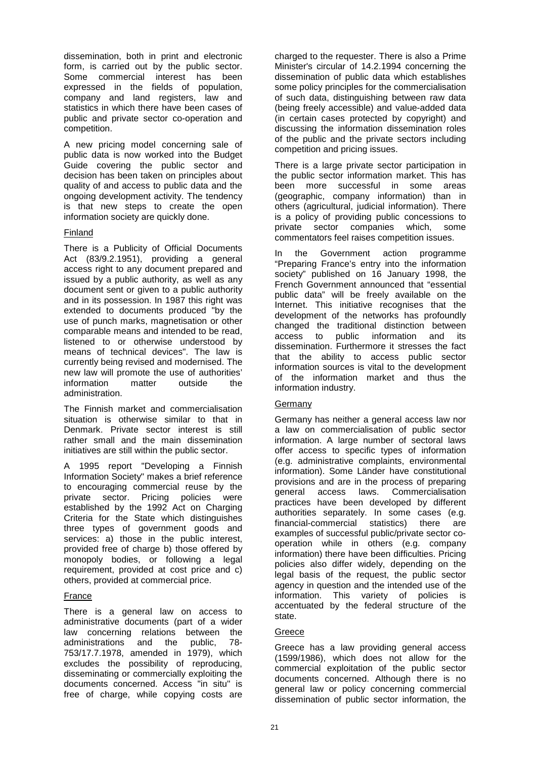dissemination, both in print and electronic form, is carried out by the public sector. Some commercial interest has been expressed in the fields of population, company and land registers, law and statistics in which there have been cases of public and private sector co-operation and competition.

A new pricing model concerning sale of public data is now worked into the Budget Guide covering the public sector and decision has been taken on principles about quality of and access to public data and the ongoing development activity. The tendency is that new steps to create the open information society are quickly done.

# Finland

There is a Publicity of Official Documents Act (83/9.2.1951), providing a general access right to any document prepared and issued by a public authority, as well as any document sent or given to a public authority and in its possession. In 1987 this right was extended to documents produced "by the use of punch marks, magnetisation or other comparable means and intended to be read, listened to or otherwise understood by means of technical devices". The law is currently being revised and modernised. The new law will promote the use of authorities' information matter outside the administration.

The Finnish market and commercialisation situation is otherwise similar to that in Denmark. Private sector interest is still rather small and the main dissemination initiatives are still within the public sector.

A 1995 report "Developing a Finnish Information Society" makes a brief reference to encouraging commercial reuse by the private sector. Pricing policies were established by the 1992 Act on Charging Criteria for the State which distinguishes three types of government goods and services: a) those in the public interest. provided free of charge b) those offered by monopoly bodies, or following a legal requirement, provided at cost price and c) others, provided at commercial price.

# France

There is a general law on access to administrative documents (part of a wider law concerning relations between the administrations and the public, 78- 753/17.7.1978, amended in 1979), which excludes the possibility of reproducing, disseminating or commercially exploiting the documents concerned. Access "in situ" is free of charge, while copying costs are

charged to the requester. There is also a Prime Minister's circular of 14.2.1994 concerning the dissemination of public data which establishes some policy principles for the commercialisation of such data, distinguishing between raw data (being freely accessible) and value-added data (in certain cases protected by copyright) and discussing the information dissemination roles of the public and the private sectors including competition and pricing issues.

There is a large private sector participation in the public sector information market. This has been more successful in some areas (geographic, company information) than in others (agricultural, judicial information). There is a policy of providing public concessions to private sector companies which, some commentators feel raises competition issues.

In the Government action programme "Preparing France's entry into the information society" published on 16 January 1998, the French Government announced that "essential public data" will be freely available on the Internet. This initiative recognises that the development of the networks has profoundly changed the traditional distinction between access to public information and its dissemination. Furthermore it stresses the fact that the ability to access public sector information sources is vital to the development of the information market and thus the information industry.

# Germany

Germany has neither a general access law nor a law on commercialisation of public sector information. A large number of sectoral laws offer access to specific types of information (e.g. administrative complaints, environmental information). Some Länder have constitutional provisions and are in the process of preparing general access laws. Commercialisation practices have been developed by different authorities separately. In some cases (e.g. financial-commercial statistics) there are examples of successful public/private sector cooperation while in others (e.g. company information) there have been difficulties. Pricing policies also differ widely, depending on the legal basis of the request, the public sector agency in question and the intended use of the information. This variety of policies is accentuated by the federal structure of the state.

#### Greece

Greece has a law providing general access (1599/1986), which does not allow for the commercial exploitation of the public sector documents concerned. Although there is no general law or policy concerning commercial dissemination of public sector information, the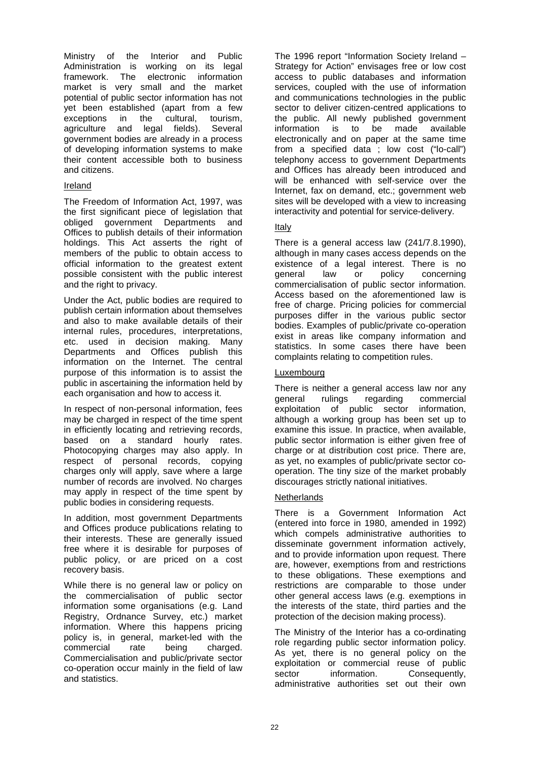Ministry of the Interior and Public Administration is working on its legal<br>framework. The electronic information electronic information market is very small and the market potential of public sector information has not yet been established (apart from a few exceptions in the cultural, tourism, agriculture and legal fields). Several government bodies are already in a process of developing information systems to make their content accessible both to business and citizens.

# Ireland

The Freedom of Information Act, 1997, was the first significant piece of legislation that obliged government Departments and Offices to publish details of their information holdings. This Act asserts the right of members of the public to obtain access to official information to the greatest extent possible consistent with the public interest and the right to privacy.

Under the Act, public bodies are required to publish certain information about themselves and also to make available details of their internal rules, procedures, interpretations, etc. used in decision making. Many Departments and Offices publish this information on the Internet. The central purpose of this information is to assist the public in ascertaining the information held by each organisation and how to access it.

In respect of non-personal information, fees may be charged in respect of the time spent in efficiently locating and retrieving records, based on a standard hourly rates. Photocopying charges may also apply. In respect of personal records, copying charges only will apply, save where a large number of records are involved. No charges may apply in respect of the time spent by public bodies in considering requests.

In addition, most government Departments and Offices produce publications relating to their interests. These are generally issued free where it is desirable for purposes of public policy, or are priced on a cost recovery basis.

While there is no general law or policy on the commercialisation of public sector information some organisations (e.g. Land Registry, Ordnance Survey, etc.) market information. Where this happens pricing policy is, in general, market-led with the commercial rate being charged. Commercialisation and public/private sector co-operation occur mainly in the field of law and statistics.

The 1996 report "Information Society Ireland – Strategy for Action" envisages free or low cost access to public databases and information services, coupled with the use of information and communications technologies in the public sector to deliver citizen-centred applications to the public. All newly published government information is to be made available electronically and on paper at the same time from a specified data ; low cost ("lo-call") telephony access to government Departments and Offices has already been introduced and will be enhanced with self-service over the Internet, fax on demand, etc.; government web sites will be developed with a view to increasing interactivity and potential for service-delivery.

# Italy

There is a general access law (241/7.8.1990), although in many cases access depends on the existence of a legal interest. There is no general law or policy concerning commercialisation of public sector information. Access based on the aforementioned law is free of charge. Pricing policies for commercial purposes differ in the various public sector bodies. Examples of public/private co-operation exist in areas like company information and statistics. In some cases there have been complaints relating to competition rules.

# Luxembourg

There is neither a general access law nor any general rulings regarding commercial exploitation of public sector information, although a working group has been set up to examine this issue. In practice, when available, public sector information is either given free of charge or at distribution cost price. There are, as yet, no examples of public/private sector cooperation. The tiny size of the market probably discourages strictly national initiatives.

# **Netherlands**

There is a Government Information Act (entered into force in 1980, amended in 1992) which compels administrative authorities to disseminate government information actively, and to provide information upon request. There are, however, exemptions from and restrictions to these obligations. These exemptions and restrictions are comparable to those under other general access laws (e.g. exemptions in the interests of the state, third parties and the protection of the decision making process).

The Ministry of the Interior has a co-ordinating role regarding public sector information policy. As yet, there is no general policy on the exploitation or commercial reuse of public sector information. Consequently, administrative authorities set out their own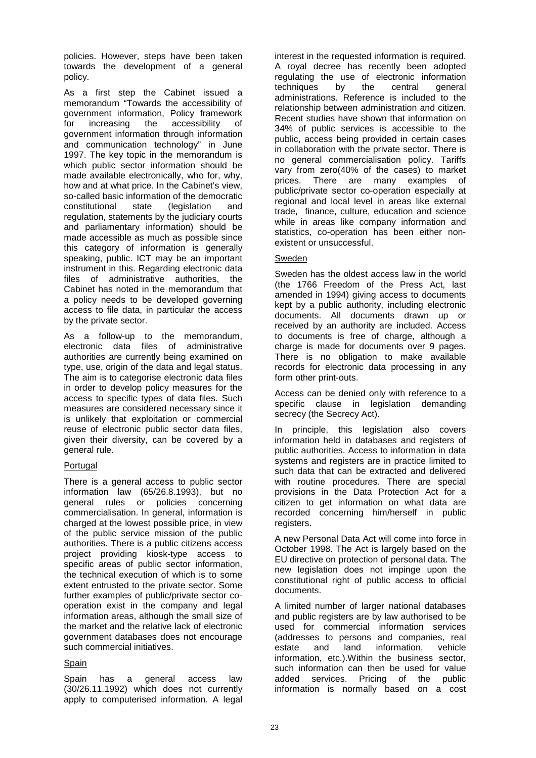policies. However, steps have been taken towards the development of a general policy.

As a first step the Cabinet issued a memorandum "Towards the accessibility of government information, Policy framework for increasing the accessibility of government information through information and communication technology" in June 1997. The key topic in the memorandum is which public sector information should be made available electronically, who for, why, how and at what price. In the Cabinet's view, so-called basic information of the democratic constitutional state (legislation and regulation, statements by the judiciary courts and parliamentary information) should be made accessible as much as possible since this category of information is generally speaking, public. ICT may be an important instrument in this. Regarding electronic data files of administrative authorities, the Cabinet has noted in the memorandum that a policy needs to be developed governing access to file data, in particular the access by the private sector.

As a follow-up to the memorandum, electronic data files of administrative authorities are currently being examined on type, use, origin of the data and legal status. The aim is to categorise electronic data files in order to develop policy measures for the access to specific types of data files. Such measures are considered necessary since it is unlikely that exploitation or commercial reuse of electronic public sector data files, given their diversity, can be covered by a general rule.

# **Portugal**

There is a general access to public sector information law (65/26.8.1993), but no general rules or policies concerning commercialisation. In general, information is charged at the lowest possible price, in view of the public service mission of the public authorities. There is a public citizens access project providing kiosk-type access to specific areas of public sector information, the technical execution of which is to some extent entrusted to the private sector. Some further examples of public/private sector cooperation exist in the company and legal information areas, although the small size of the market and the relative lack of electronic government databases does not encourage such commercial initiatives.

#### Spain

Spain has a general access law (30/26.11.1992) which does not currently apply to computerised information. A legal interest in the requested information is required. A royal decree has recently been adopted regulating the use of electronic information<br>techniques by the central general techniques by the central administrations. Reference is included to the relationship between administration and citizen. Recent studies have shown that information on 34% of public services is accessible to the public, access being provided in certain cases in collaboration with the private sector. There is no general commercialisation policy. Tariffs vary from zero(40% of the cases) to market prices. There are many examples of public/private sector co-operation especially at regional and local level in areas like external trade, finance, culture, education and science while in areas like company information and statistics, co-operation has been either nonexistent or unsuccessful.

# Sweden

Sweden has the oldest access law in the world (the 1766 Freedom of the Press Act, last amended in 1994) giving access to documents kept by a public authority, including electronic documents. All documents drawn up or received by an authority are included. Access to documents is free of charge, although a charge is made for documents over 9 pages. There is no obligation to make available records for electronic data processing in any form other print-outs.

Access can be denied only with reference to a specific clause in legislation demanding secrecy (the Secrecy Act).

In principle, this legislation also covers information held in databases and registers of public authorities. Access to information in data systems and registers are in practice limited to such data that can be extracted and delivered with routine procedures. There are special provisions in the Data Protection Act for a citizen to get information on what data are recorded concerning him/herself in public registers.

A new Personal Data Act will come into force in October 1998. The Act is largely based on the EU directive on protection of personal data. The new legislation does not impinge upon the constitutional right of public access to official documents.

A limited number of larger national databases and public registers are by law authorised to be used for commercial information services (addresses to persons and companies, real estate and land information vehicle information, etc.).Within the business sector, such information can then be used for value added services. Pricing of the public information is normally based on a cost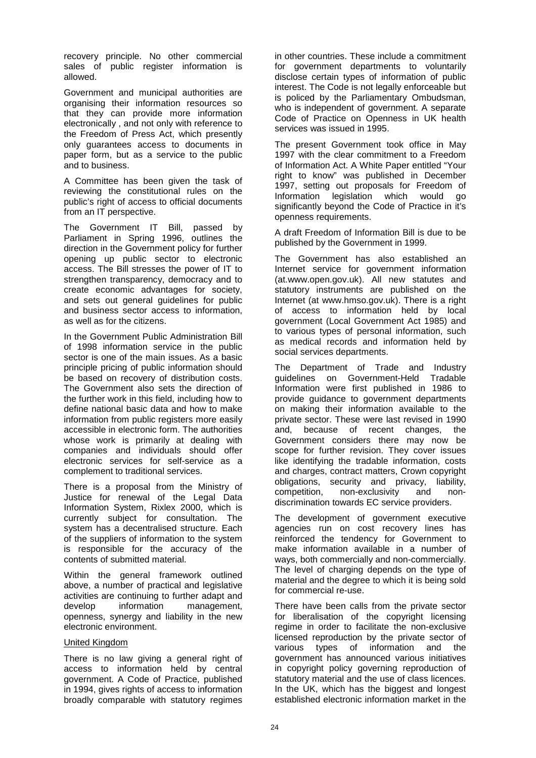recovery principle. No other commercial sales of public register information is allowed.

Government and municipal authorities are organising their information resources so that they can provide more information electronically , and not only with reference to the Freedom of Press Act, which presently only guarantees access to documents in paper form, but as a service to the public and to business.

A Committee has been given the task of reviewing the constitutional rules on the public's right of access to official documents from an IT perspective.

The Government IT Bill, passed by Parliament in Spring 1996, outlines the direction in the Government policy for further opening up public sector to electronic access. The Bill stresses the power of IT to strengthen transparency, democracy and to create economic advantages for society, and sets out general guidelines for public and business sector access to information, as well as for the citizens.

In the Government Public Administration Bill of 1998 information service in the public sector is one of the main issues. As a basic principle pricing of public information should be based on recovery of distribution costs. The Government also sets the direction of the further work in this field, including how to define national basic data and how to make information from public registers more easily accessible in electronic form. The authorities whose work is primarily at dealing with companies and individuals should offer electronic services for self-service as a complement to traditional services.

There is a proposal from the Ministry of Justice for renewal of the Legal Data Information System, Rixlex 2000, which is currently subject for consultation. The system has a decentralised structure. Each of the suppliers of information to the system is responsible for the accuracy of the contents of submitted material.

Within the general framework outlined above, a number of practical and legislative activities are continuing to further adapt and develop information management, openness, synergy and liability in the new electronic environment.

#### United Kingdom

There is no law giving a general right of access to information held by central government. A Code of Practice, published in 1994, gives rights of access to information broadly comparable with statutory regimes

in other countries. These include a commitment for government departments to voluntarily disclose certain types of information of public interest. The Code is not legally enforceable but is policed by the Parliamentary Ombudsman, who is independent of government. A separate Code of Practice on Openness in UK health services was issued in 1995.

The present Government took office in May 1997 with the clear commitment to a Freedom of Information Act. A White Paper entitled "Your right to know" was published in December 1997, setting out proposals for Freedom of Information legislation which would go significantly beyond the Code of Practice in it's openness requirements.

A draft Freedom of Information Bill is due to be published by the Government in 1999.

The Government has also established an Internet service for government information (at.www.open.gov.uk). All new statutes and statutory instruments are published on the Internet (at www.hmso.gov.uk). There is a right of access to information held by local government (Local Government Act 1985) and to various types of personal information, such as medical records and information held by social services departments.

The Department of Trade and Industry guidelines on Government-Held Tradable Information were first published in 1986 to provide guidance to government departments on making their information available to the private sector. These were last revised in 1990 and, because of recent changes, the Government considers there may now be scope for further revision. They cover issues like identifying the tradable information, costs and charges, contract matters, Crown copyright obligations, security and privacy, liability, competition, non-exclusivity and nondiscrimination towards EC service providers.

The development of government executive agencies run on cost recovery lines has reinforced the tendency for Government to make information available in a number of ways, both commercially and non-commercially. The level of charging depends on the type of material and the degree to which it is being sold for commercial re-use.

There have been calls from the private sector for liberalisation of the copyright licensing regime in order to facilitate the non-exclusive licensed reproduction by the private sector of various types of information and the government has announced various initiatives in copyright policy governing reproduction of statutory material and the use of class licences. In the UK, which has the biggest and longest established electronic information market in the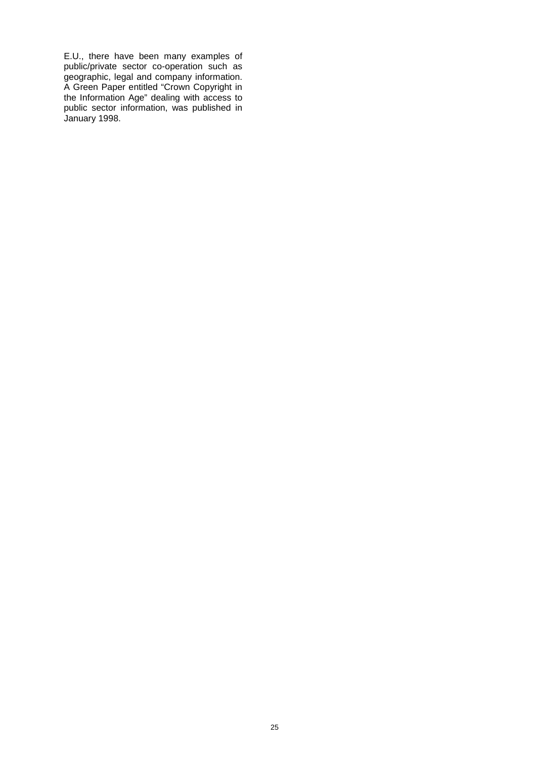E.U., there have been many examples of public/private sector co-operation such as geographic, legal and company information. A Green Paper entitled "Crown Copyright in the Information Age" dealing with access to public sector information, was published in January 1998.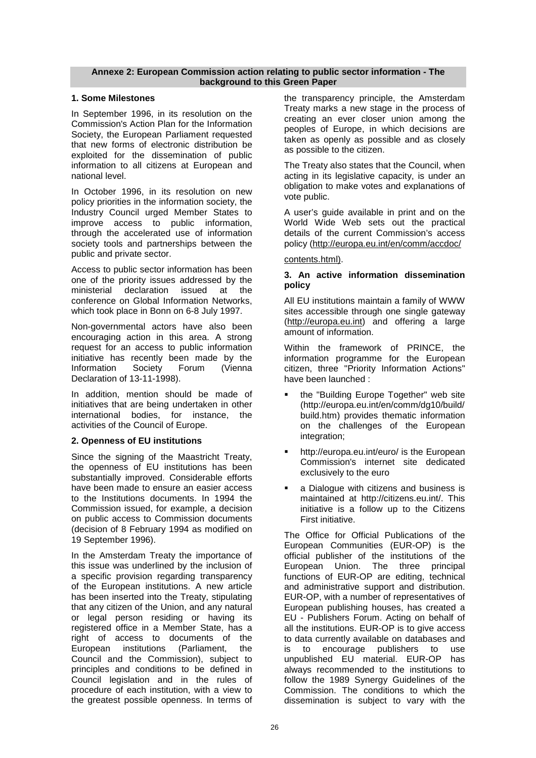## **Annexe 2: European Commission action relating to public sector information - The background to this Green Paper**

# **1. Some Milestones**

In September 1996, in its resolution on the Commission's Action Plan for the Information Society, the European Parliament requested that new forms of electronic distribution be exploited for the dissemination of public information to all citizens at European and national level.

In October 1996, in its resolution on new policy priorities in the information society, the Industry Council urged Member States to improve access to public information, through the accelerated use of information society tools and partnerships between the public and private sector.

Access to public sector information has been one of the priority issues addressed by the ministerial declaration issued at the conference on Global Information Networks, which took place in Bonn on 6-8 July 1997.

Non-governmental actors have also been encouraging action in this area. A strong request for an access to public information initiative has recently been made by the Information Society Forum (Vienna Declaration of 13-11-1998).

In addition, mention should be made of initiatives that are being undertaken in other international bodies, for instance, the activities of the Council of Europe.

# **2. Openness of EU institutions**

Since the signing of the Maastricht Treaty, the openness of EU institutions has been substantially improved. Considerable efforts have been made to ensure an easier access to the Institutions documents. In 1994 the Commission issued, for example, a decision on public access to Commission documents (decision of 8 February 1994 as modified on 19 September 1996).

In the Amsterdam Treaty the importance of this issue was underlined by the inclusion of a specific provision regarding transparency of the European institutions. A new article has been inserted into the Treaty, stipulating that any citizen of the Union, and any natural or legal person residing or having its registered office in a Member State, has a right of access to documents of the<br>European institutions (Parliament, the European institutions (Parliament, the Council and the Commission), subject to principles and conditions to be defined in Council legislation and in the rules of procedure of each institution, with a view to the greatest possible openness. In terms of

the transparency principle, the Amsterdam Treaty marks a new stage in the process of creating an ever closer union among the peoples of Europe, in which decisions are taken as openly as possible and as closely as possible to the citizen.

The Treaty also states that the Council, when acting in its legislative capacity, is under an obligation to make votes and explanations of vote public.

A user's guide available in print and on the World Wide Web sets out the practical details of the current Commission's access policy (http://europa.eu.int/en/comm/accdoc/

contents.html).

## **3. An active information dissemination policy**

All EU institutions maintain a family of WWW sites accessible through one single gateway (http://europa.eu.int) and offering a large amount of information.

Within the framework of PRINCE, the information programme for the European citizen, three "Priority Information Actions" have been launched :

- the "Building Europe Together" web site (http://europa.eu.int/en/comm/dg10/build/ build.htm) provides thematic information on the challenges of the European integration;
- http://europa.eu.int/euro/ is the European Commission's internet site dedicated exclusively to the euro
- a Dialogue with citizens and business is maintained at http://citizens.eu.int/. This initiative is a follow up to the Citizens First initiative.

The Office for Official Publications of the European Communities (EUR-OP) is the official publisher of the institutions of the European Union. The three principal functions of EUR-OP are editing, technical and administrative support and distribution. EUR-OP, with a number of representatives of European publishing houses, has created a EU - Publishers Forum. Acting on behalf of all the institutions. EUR-OP is to give access to data currently available on databases and is to encourage publishers to use unpublished EU material. EUR-OP has always recommended to the institutions to follow the 1989 Synergy Guidelines of the Commission. The conditions to which the dissemination is subject to vary with the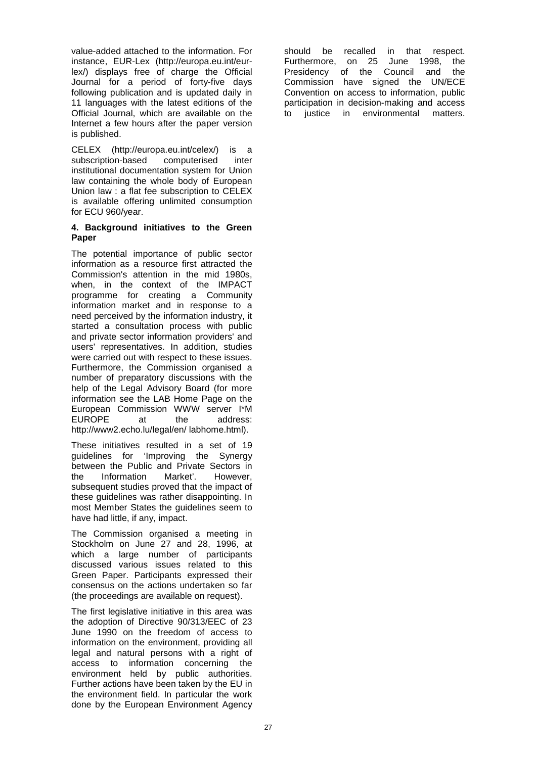value-added attached to the information. For instance, EUR-Lex (http://europa.eu.int/eurlex/) displays free of charge the Official Journal for a period of forty-five days following publication and is updated daily in 11 languages with the latest editions of the Official Journal, which are available on the Internet a few hours after the paper version is published.

CELEX (http://europa.eu.int/celex/) is a subscription-based computerised inter institutional documentation system for Union law containing the whole body of European Union law : a flat fee subscription to CELEX is available offering unlimited consumption for ECU 960/year.

#### **4. Background initiatives to the Green Paper**

The potential importance of public sector information as a resource first attracted the Commission's attention in the mid 1980s, when, in the context of the IMPACT programme for creating a Community information market and in response to a need perceived by the information industry, it started a consultation process with public and private sector information providers' and users' representatives. In addition, studies were carried out with respect to these issues. Furthermore, the Commission organised a number of preparatory discussions with the help of the Legal Advisory Board (for more information see the LAB Home Page on the European Commission WWW server I\*M EUROPE at the address: http://www2.echo.lu/legal/en/ labhome.html).

These initiatives resulted in a set of 19 guidelines for 'Improving the Synergy between the Public and Private Sectors in the Information Market'. However, subsequent studies proved that the impact of these guidelines was rather disappointing. In most Member States the guidelines seem to have had little, if any, impact.

The Commission organised a meeting in Stockholm on June 27 and 28, 1996, at which a large number of participants discussed various issues related to this Green Paper. Participants expressed their consensus on the actions undertaken so far (the proceedings are available on request).

The first legislative initiative in this area was the adoption of Directive 90/313/EEC of 23 June 1990 on the freedom of access to information on the environment, providing all legal and natural persons with a right of access to information concerning the environment held by public authorities. Further actions have been taken by the EU in the environment field. In particular the work done by the European Environment Agency

should be recalled in that respect. Furthermore, on 25 June 1998, the Presidency of the Council and the Commission have signed the UN/ECE Convention on access to information, public participation in decision-making and access to justice in environmental matters.